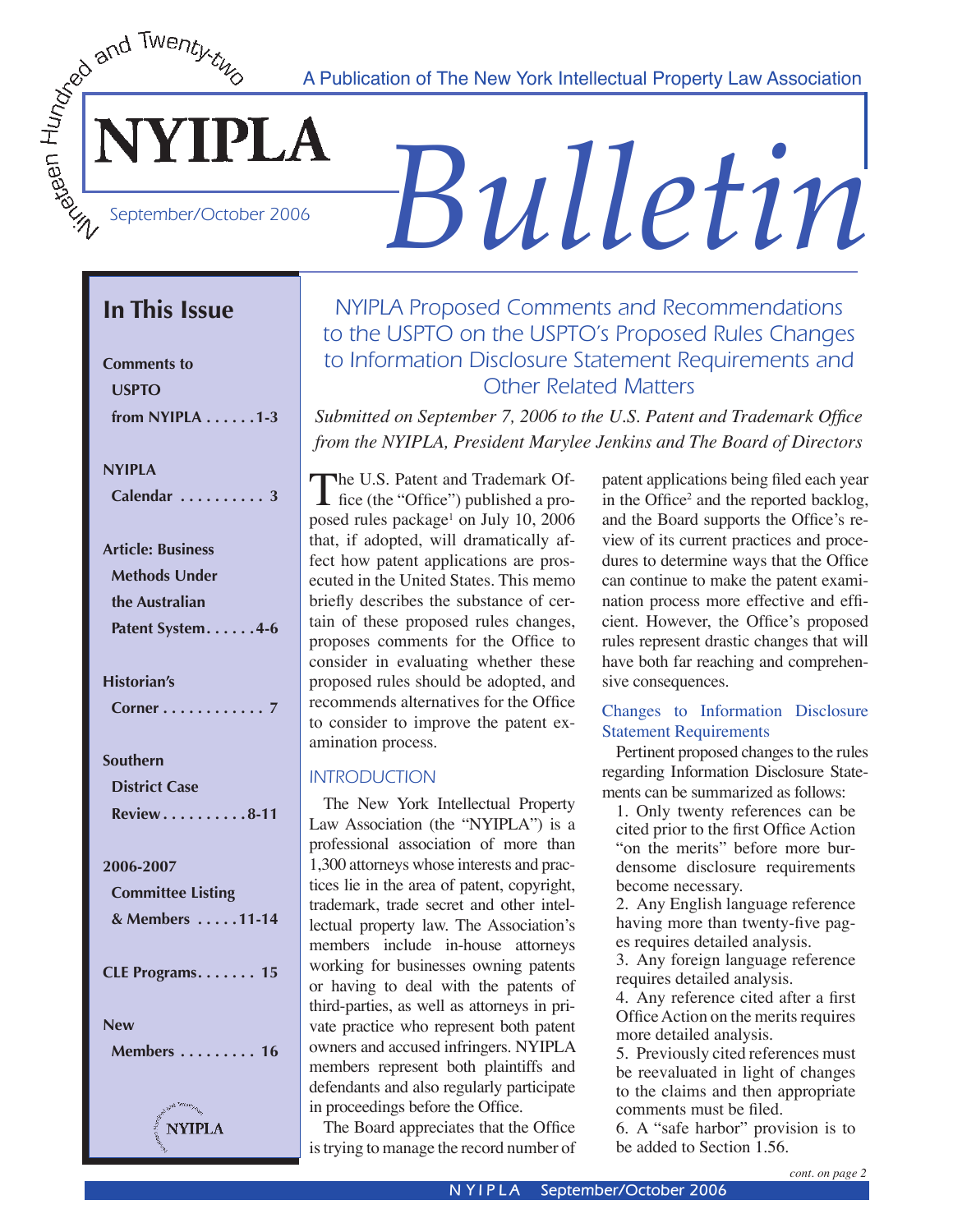A Publication of The New York Intellectual Property Law Association



YIPLA

# *Bulletin*

## **In This Issue**

| <b>Comments to</b>                        |
|-------------------------------------------|
| <b>USPTO</b>                              |
| from NYIPLA $\dots$ . 1-3                 |
|                                           |
| <b>NYIPLA</b>                             |
| Calendar<br>$\cdot$ 3<br>J.<br>J,         |
|                                           |
| <b>Article: Business</b>                  |
| <b>Methods Under</b>                      |
| the Australian                            |
| Patent System. 4-6                        |
|                                           |
| <b>Historian's</b>                        |
| J<br>Corner<br>l,<br>Ξ,                   |
| Southern                                  |
| <b>District Case</b>                      |
| Review8-11                                |
|                                           |
| 2006-2007                                 |
| <b>Committee Listing</b>                  |
| & Members 11-14                           |
|                                           |
| CLE Programs. 15                          |
| New                                       |
| Members<br>$\ldots$ 16                    |
|                                           |
|                                           |
| $\int_{\frac{1}{2}}^{\frac{1}{2}} NNIPLA$ |

## NYIPLA Proposed Comments and Recommendations to the USPTO on the USPTO's Proposed Rules Changes to Information Disclosure Statement Requirements and Other Related Matters

*Submitted on September 7, 2006 to the U.S. Patent and Trademark Office from the NYIPLA, President Marylee Jenkins and The Board of Directors*

The U.S. Patent and Trademark Of-<br>fice (the "Office") published a proposed rules package<sup>1</sup> on July 10, 2006 that, if adopted, will dramatically affect how patent applications are prosecuted in the United States. This memo briefly describes the substance of certain of these proposed rules changes, proposes comments for the Office to consider in evaluating whether these proposed rules should be adopted, and recommends alternatives for the Office to consider to improve the patent examination process.

#### **INTRODUCTION**

The New York Intellectual Property Law Association (the "NYIPLA") is a professional association of more than 1,300 attorneys whose interests and practices lie in the area of patent, copyright, trademark, trade secret and other intellectual property law. The Association's members include in-house attorneys working for businesses owning patents or having to deal with the patents of third-parties, as well as attorneys in private practice who represent both patent owners and accused infringers. NYIPLA members represent both plaintiffs and defendants and also regularly participate in proceedings before the Office.

The Board appreciates that the Office is trying to manage the record number of

patent applications being filed each year in the Office<sup>2</sup> and the reported backlog, and the Board supports the Office's review of its current practices and procedures to determine ways that the Office can continue to make the patent examination process more effective and efficient. However, the Office's proposed rules represent drastic changes that will have both far reaching and comprehensive consequences.

#### Changes to Information Disclosure Statement Requirements

 Pertinent proposed changes to the rules regarding Information Disclosure Statements can be summarized as follows:

1. Only twenty references can be cited prior to the first Office Action "on the merits" before more burdensome disclosure requirements become necessary.

2. Any English language reference having more than twenty-five pages requires detailed analysis.

3. Any foreign language reference requires detailed analysis.

4. Any reference cited after a first Office Action on the merits requires more detailed analysis.

5. Previously cited references must be reevaluated in light of changes to the claims and then appropriate comments must be filed.

6. A "safe harbor" provision is to be added to Section 1.56.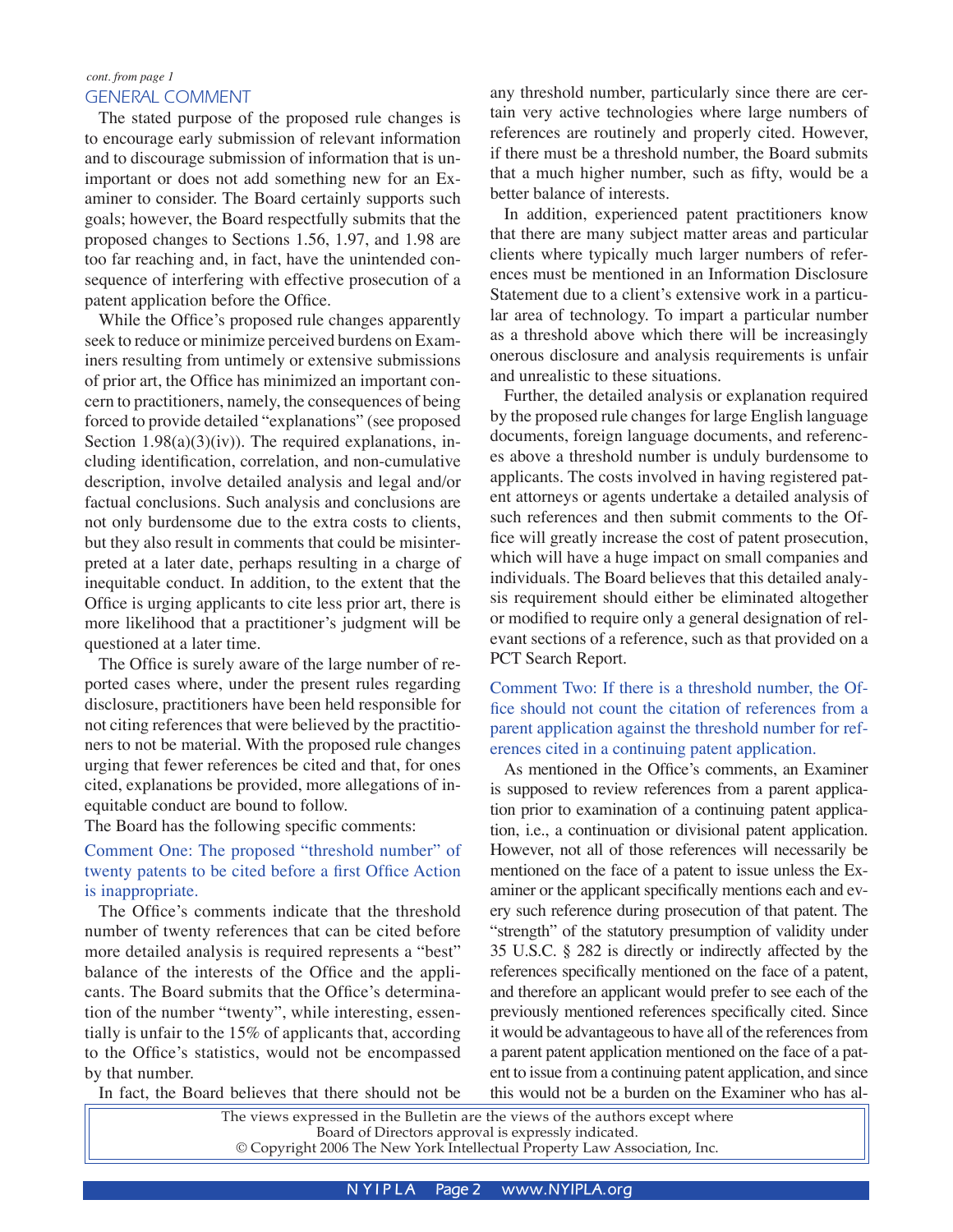#### GENERAL COMMENT

 The stated purpose of the proposed rule changes is to encourage early submission of relevant information and to discourage submission of information that is unimportant or does not add something new for an Examiner to consider. The Board certainly supports such goals; however, the Board respectfully submits that the proposed changes to Sections 1.56, 1.97, and 1.98 are too far reaching and, in fact, have the unintended consequence of interfering with effective prosecution of a patent application before the Office.

 While the Office's proposed rule changes apparently seek to reduce or minimize perceived burdens on Examiners resulting from untimely or extensive submissions of prior art, the Office has minimized an important concern to practitioners, namely, the consequences of being forced to provide detailed "explanations" (see proposed Section  $1.98(a)(3)(iv)$ . The required explanations, including identification, correlation, and non-cumulative description, involve detailed analysis and legal and/or factual conclusions. Such analysis and conclusions are not only burdensome due to the extra costs to clients, but they also result in comments that could be misinterpreted at a later date, perhaps resulting in a charge of inequitable conduct. In addition, to the extent that the Office is urging applicants to cite less prior art, there is more likelihood that a practitioner's judgment will be questioned at a later time.

 The Office is surely aware of the large number of reported cases where, under the present rules regarding disclosure, practitioners have been held responsible for not citing references that were believed by the practitioners to not be material. With the proposed rule changes urging that fewer references be cited and that, for ones cited, explanations be provided, more allegations of inequitable conduct are bound to follow.

The Board has the following specific comments:

#### Comment One: The proposed "threshold number" of twenty patents to be cited before a first Office Action is inappropriate.

 The Office's comments indicate that the threshold number of twenty references that can be cited before more detailed analysis is required represents a "best" balance of the interests of the Office and the applicants. The Board submits that the Office's determination of the number "twenty", while interesting, essentially is unfair to the 15% of applicants that, according to the Office's statistics, would not be encompassed by that number.

any threshold number, particularly since there are certain very active technologies where large numbers of references are routinely and properly cited. However, if there must be a threshold number, the Board submits that a much higher number, such as fifty, would be a better balance of interests.

 In addition, experienced patent practitioners know that there are many subject matter areas and particular clients where typically much larger numbers of references must be mentioned in an Information Disclosure Statement due to a client's extensive work in a particular area of technology. To impart a particular number as a threshold above which there will be increasingly onerous disclosure and analysis requirements is unfair and unrealistic to these situations.

 Further, the detailed analysis or explanation required by the proposed rule changes for large English language documents, foreign language documents, and references above a threshold number is unduly burdensome to applicants. The costs involved in having registered patent attorneys or agents undertake a detailed analysis of such references and then submit comments to the Office will greatly increase the cost of patent prosecution, which will have a huge impact on small companies and individuals. The Board believes that this detailed analysis requirement should either be eliminated altogether or modified to require only a general designation of relevant sections of a reference, such as that provided on a PCT Search Report.

Comment Two: If there is a threshold number, the Office should not count the citation of references from a parent application against the threshold number for references cited in a continuing patent application.

As mentioned in the Office's comments, an Examiner is supposed to review references from a parent application prior to examination of a continuing patent application, i.e., a continuation or divisional patent application. However, not all of those references will necessarily be mentioned on the face of a patent to issue unless the Examiner or the applicant specifically mentions each and every such reference during prosecution of that patent. The "strength" of the statutory presumption of validity under 35 U.S.C. § 282 is directly or indirectly affected by the references specifically mentioned on the face of a patent, and therefore an applicant would prefer to see each of the previously mentioned references specifically cited. Since it would be advantageous to have all of the references from a parent patent application mentioned on the face of a patent to issue from a continuing patent application, and since this would not be a burden on the Examiner who has al-

In fact, the Board believes that there should not be

The views expressed in the Bulletin are the views of the authors except where Board of Directors approval is expressly indicated. © Copyright 2006 The New York Intellectual Property Law Association, Inc.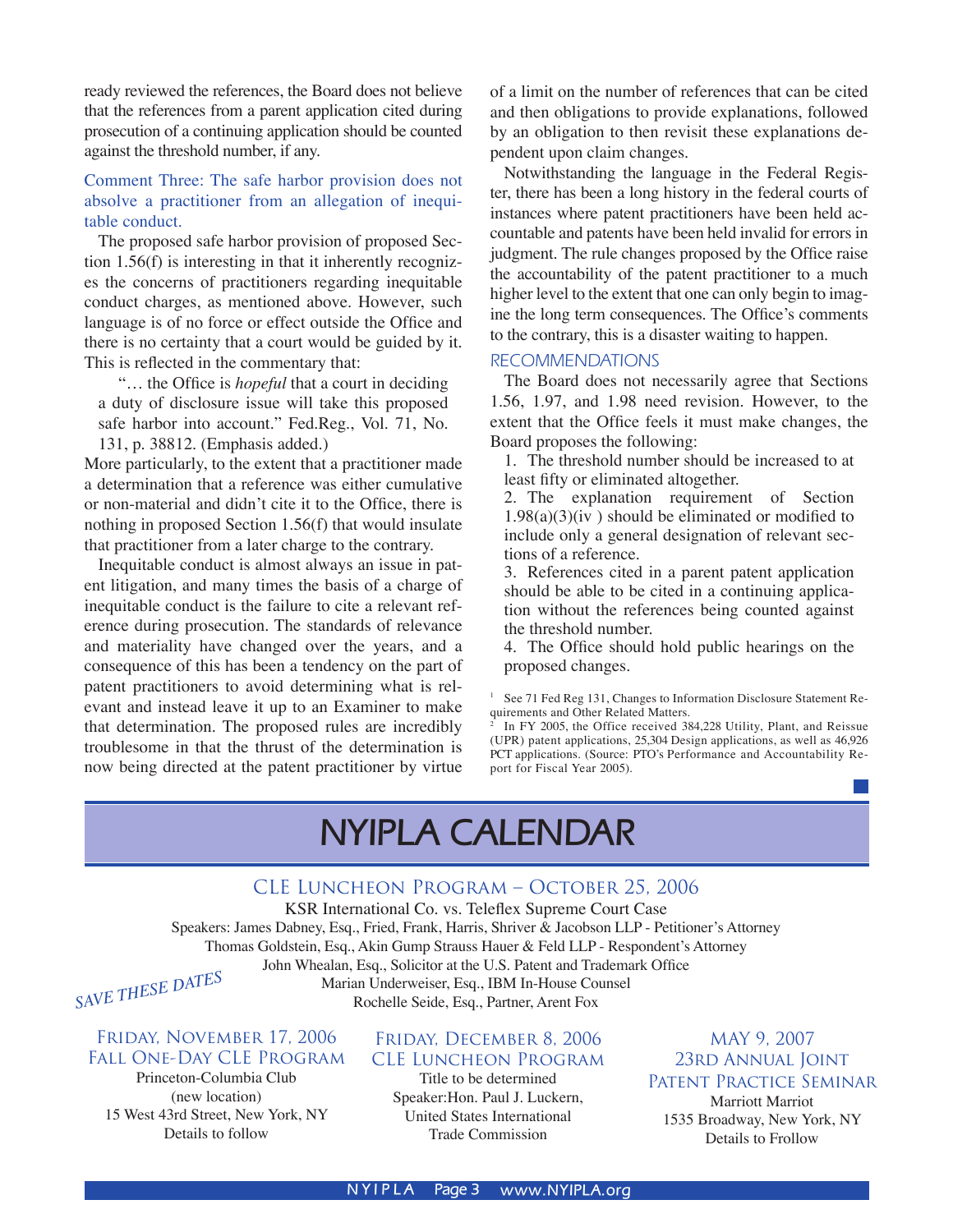ready reviewed the references, the Board does not believe that the references from a parent application cited during prosecution of a continuing application should be counted against the threshold number, if any.

#### Comment Three: The safe harbor provision does not absolve a practitioner from an allegation of inequitable conduct.

 The proposed safe harbor provision of proposed Section 1.56(f) is interesting in that it inherently recognizes the concerns of practitioners regarding inequitable conduct charges, as mentioned above. However, such language is of no force or effect outside the Office and there is no certainty that a court would be guided by it. This is reflected in the commentary that:

 "… the Office is *hopeful* that a court in deciding a duty of disclosure issue will take this proposed safe harbor into account." Fed.Reg., Vol. 71, No. 131, p. 38812. (Emphasis added.)

More particularly, to the extent that a practitioner made a determination that a reference was either cumulative or non-material and didn't cite it to the Office, there is nothing in proposed Section 1.56(f) that would insulate that practitioner from a later charge to the contrary.

Inequitable conduct is almost always an issue in patent litigation, and many times the basis of a charge of inequitable conduct is the failure to cite a relevant reference during prosecution. The standards of relevance and materiality have changed over the years, and a consequence of this has been a tendency on the part of patent practitioners to avoid determining what is relevant and instead leave it up to an Examiner to make that determination. The proposed rules are incredibly troublesome in that the thrust of the determination is now being directed at the patent practitioner by virtue

of a limit on the number of references that can be cited and then obligations to provide explanations, followed by an obligation to then revisit these explanations dependent upon claim changes.

 Notwithstanding the language in the Federal Register, there has been a long history in the federal courts of instances where patent practitioners have been held accountable and patents have been held invalid for errors in judgment. The rule changes proposed by the Office raise the accountability of the patent practitioner to a much higher level to the extent that one can only begin to imagine the long term consequences. The Office's comments to the contrary, this is a disaster waiting to happen.

#### RECOMMENDATIONS

 The Board does not necessarily agree that Sections 1.56, 1.97, and 1.98 need revision. However, to the extent that the Office feels it must make changes, the Board proposes the following:

1. The threshold number should be increased to at least fifty or eliminated altogether.

2. The explanation requirement of Section  $1.98(a)(3)(iv)$  should be eliminated or modified to include only a general designation of relevant sections of a reference.

3. References cited in a parent patent application should be able to be cited in a continuing application without the references being counted against the threshold number.

4. The Office should hold public hearings on the proposed changes.

# **NYIPLA CALENDAR**

#### CLE Luncheon Program – October 25, 2006

KSR International Co. vs. Teleflex Supreme Court Case Speakers: James Dabney, Esq., Fried, Frank, Harris, Shriver & Jacobson LLP - Petitioner's Attorney Thomas Goldstein, Esq., Akin Gump Strauss Hauer & Feld LLP - Respondent's Attorney John Whealan, Esq., Solicitor at the U.S. Patent and Trademark Office Marian Underweiser, Esq., IBM In-House Counsel Rochelle Seide, Esq., Partner, Arent Fox *SAVE THESE DATES* 

#### Friday, November 17, 2006 Fall One-Day CLE Program

Princeton-Columbia Club (new location) 15 West 43rd Street, New York, NY Details to follow

#### Friday, December 8, 2006 CLE Luncheon Program

Title to be determined Speaker:Hon. Paul J. Luckern, United States International Trade Commission

MAY 9, 2007 23rd Annual Joint Patent Practice Seminar Marriott Marriot 1535 Broadway, New York, NY Details to Frollow

<sup>&</sup>lt;sup>1</sup> See 71 Fed Reg 131, Changes to Information Disclosure Statement Requirements and Other Related Matters.

<sup>2</sup> In FY 2005, the Office received 384,228 Utility, Plant, and Reissue (UPR) patent applications, 25,304 Design applications, as well as 46,926 PCT applications. (Source: PTO's Performance and Accountability Report for Fiscal Year 2005).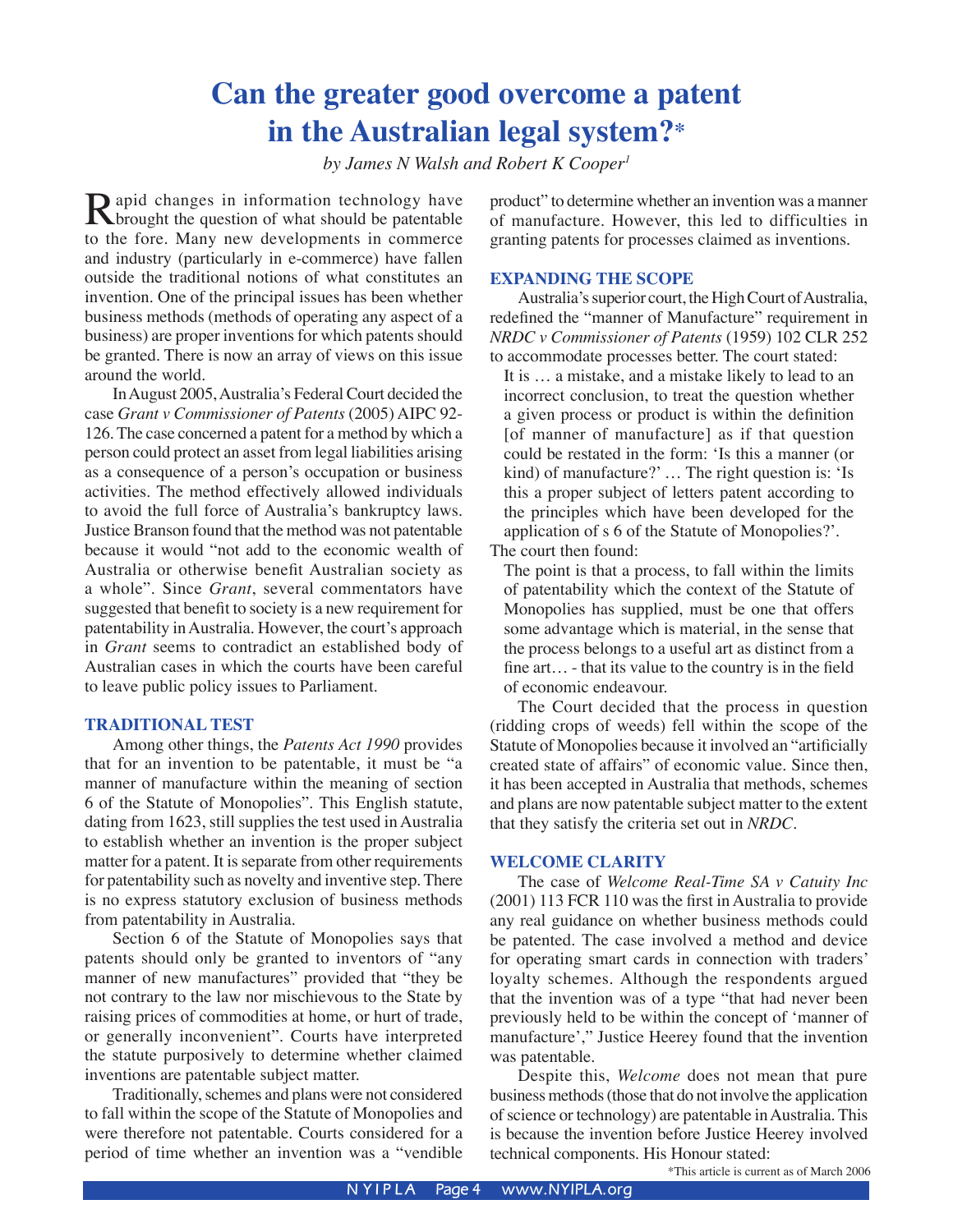# **Can the greater good overcome a patent in the Australian legal system?\***

*by James N Walsh and Robert K Cooper1*

Rapid changes in information technology have<br>brought the question of what should be patentable<br>to the fore. Many new developments in commerce to the fore. Many new developments in commerce and industry (particularly in e-commerce) have fallen outside the traditional notions of what constitutes an invention. One of the principal issues has been whether business methods (methods of operating any aspect of a business) are proper inventions for which patents should be granted. There is now an array of views on this issue around the world.

 In August 2005, Australia's Federal Court decided the case *Grant v Commissioner of Patents* (2005) AIPC 92- 126. The case concerned a patent for a method by which a person could protect an asset from legal liabilities arising as a consequence of a person's occupation or business activities. The method effectively allowed individuals to avoid the full force of Australia's bankruptcy laws. Justice Branson found that the method was not patentable because it would "not add to the economic wealth of Australia or otherwise benefit Australian society as a whole". Since *Grant*, several commentators have suggested that benefit to society is a new requirement for patentability in Australia. However, the court's approach in *Grant* seems to contradict an established body of Australian cases in which the courts have been careful to leave public policy issues to Parliament.

#### **TRADITIONAL TEST**

 Among other things, the *Patents Act 1990* provides that for an invention to be patentable, it must be "a manner of manufacture within the meaning of section 6 of the Statute of Monopolies". This English statute, dating from 1623, still supplies the test used in Australia to establish whether an invention is the proper subject matter for a patent. It is separate from other requirements for patentability such as novelty and inventive step. There is no express statutory exclusion of business methods from patentability in Australia.

Section 6 of the Statute of Monopolies says that patents should only be granted to inventors of "any manner of new manufactures" provided that "they be not contrary to the law nor mischievous to the State by raising prices of commodities at home, or hurt of trade, or generally inconvenient". Courts have interpreted the statute purposively to determine whether claimed inventions are patentable subject matter.

 Traditionally, schemes and plans were not considered to fall within the scope of the Statute of Monopolies and were therefore not patentable. Courts considered for a period of time whether an invention was a "vendible

product" to determine whether an invention was a manner of manufacture. However, this led to difficulties in granting patents for processes claimed as inventions.

#### **EXPANDING THE SCOPE**

Australia's superior court, the High Court of Australia, redefined the "manner of Manufacture" requirement in *NRDC v Commissioner of Patents* (1959) 102 CLR 252 to accommodate processes better. The court stated:

It is … a mistake, and a mistake likely to lead to an incorrect conclusion, to treat the question whether a given process or product is within the definition [of manner of manufacture] as if that question could be restated in the form: ʻIs this a manner (or kind) of manufacture?' … The right question is: ʻIs this a proper subject of letters patent according to the principles which have been developed for the application of s 6 of the Statute of Monopolies?'.

The court then found:

The point is that a process, to fall within the limits of patentability which the context of the Statute of Monopolies has supplied, must be one that offers some advantage which is material, in the sense that the process belongs to a useful art as distinct from a fine art… - that its value to the country is in the field of economic endeavour.

 The Court decided that the process in question (ridding crops of weeds) fell within the scope of the Statute of Monopolies because it involved an "artificially created state of affairs" of economic value. Since then, it has been accepted in Australia that methods, schemes and plans are now patentable subject matter to the extent that they satisfy the criteria set out in *NRDC*.

#### **WELCOME CLARITY**

The case of *Welcome Real-Time SA v Catuity Inc* (2001) 113 FCR 110 was the first in Australia to provide any real guidance on whether business methods could be patented. The case involved a method and device for operating smart cards in connection with traders' loyalty schemes. Although the respondents argued that the invention was of a type "that had never been previously held to be within the concept of ʻmanner of manufacture'," Justice Heerey found that the invention was patentable.

 Despite this, *Welcome* does not mean that pure business methods (those that do not involve the application of science or technology) are patentable in Australia. This is because the invention before Justice Heerey involved technical components. His Honour stated:

\*This article is current as of March 2006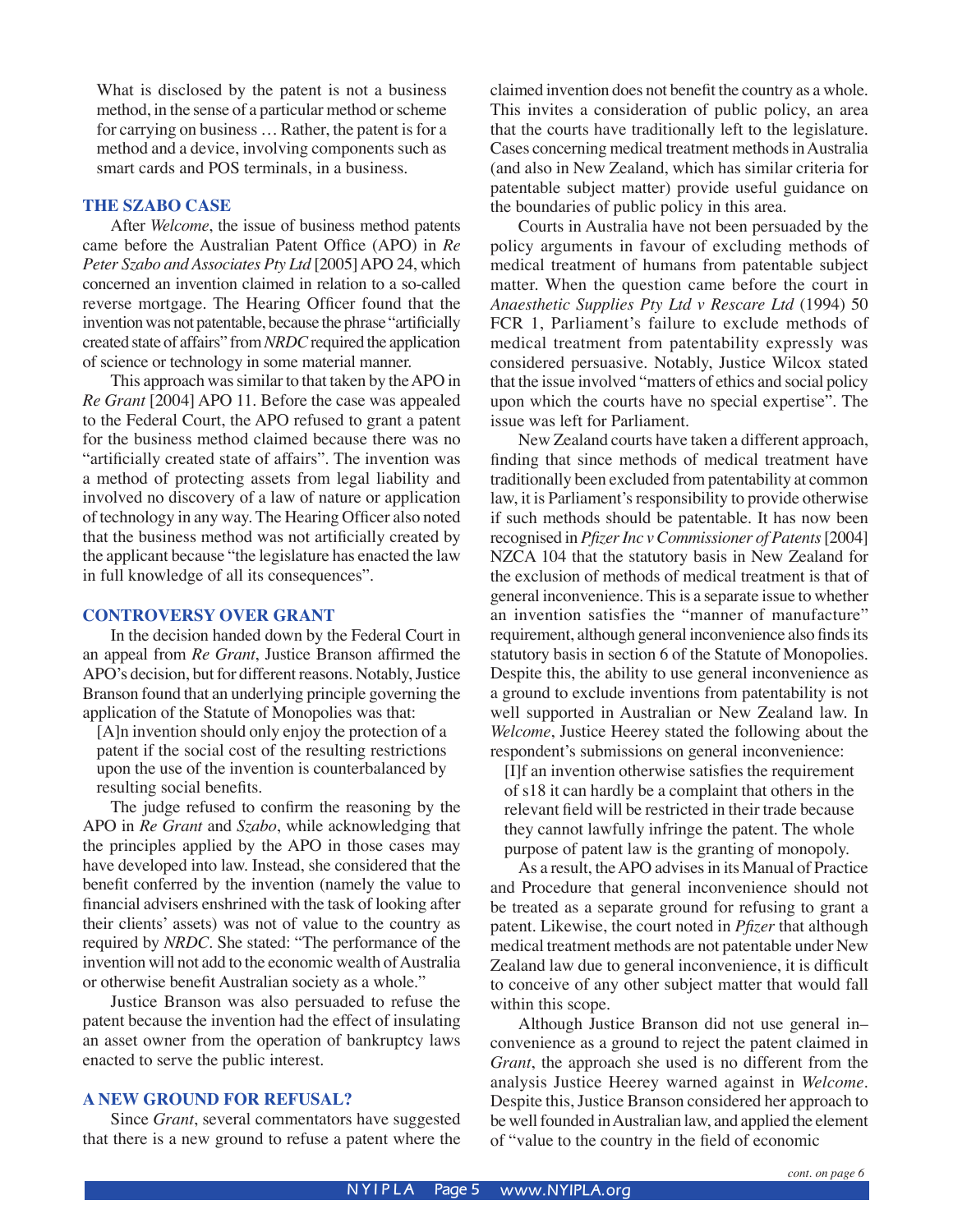What is disclosed by the patent is not a business method, in the sense of a particular method or scheme for carrying on business … Rather, the patent is for a method and a device, involving components such as smart cards and POS terminals, in a business.

#### **THE SZABO CASE**

After *Welcome*, the issue of business method patents came before the Australian Patent Office (APO) in *Re Peter Szabo and Associates Pty Ltd* [2005] APO 24, which concerned an invention claimed in relation to a so-called reverse mortgage. The Hearing Officer found that the invention was not patentable, because the phrase "artificially created state of affairs" from *NRDC* required the application of science or technology in some material manner.

 This approach was similar to that taken by the APO in *Re Grant* [2004] APO 11. Before the case was appealed to the Federal Court, the APO refused to grant a patent for the business method claimed because there was no "artificially created state of affairs". The invention was a method of protecting assets from legal liability and involved no discovery of a law of nature or application of technology in any way. The Hearing Officer also noted that the business method was not artificially created by the applicant because "the legislature has enacted the law in full knowledge of all its consequences".

#### **CONTROVERSY OVER GRANT**

In the decision handed down by the Federal Court in an appeal from *Re Grant*, Justice Branson affirmed the APO's decision, but for different reasons. Notably, Justice Branson found that an underlying principle governing the application of the Statute of Monopolies was that:

[A]n invention should only enjoy the protection of a patent if the social cost of the resulting restrictions upon the use of the invention is counterbalanced by resulting social benefits.

The judge refused to confirm the reasoning by the APO in *Re Grant* and *Szabo*, while acknowledging that the principles applied by the APO in those cases may have developed into law. Instead, she considered that the benefit conferred by the invention (namely the value to financial advisers enshrined with the task of looking after their clients' assets) was not of value to the country as required by *NRDC*. She stated: "The performance of the invention will not add to the economic wealth of Australia or otherwise benefit Australian society as a whole."

 Justice Branson was also persuaded to refuse the patent because the invention had the effect of insulating an asset owner from the operation of bankruptcy laws enacted to serve the public interest.

#### **A NEW GROUND FOR REFUSAL?**

Since *Grant*, several commentators have suggested that there is a new ground to refuse a patent where the claimed invention does not benefit the country as a whole. This invites a consideration of public policy, an area that the courts have traditionally left to the legislature. Cases concerning medical treatment methods in Australia (and also in New Zealand, which has similar criteria for patentable subject matter) provide useful guidance on the boundaries of public policy in this area.

 Courts in Australia have not been persuaded by the policy arguments in favour of excluding methods of medical treatment of humans from patentable subject matter. When the question came before the court in *Anaesthetic Supplies Pty Ltd v Rescare Ltd* (1994) 50 FCR 1, Parliament's failure to exclude methods of medical treatment from patentability expressly was considered persuasive. Notably, Justice Wilcox stated that the issue involved "matters of ethics and social policy upon which the courts have no special expertise". The issue was left for Parliament.

New Zealand courts have taken a different approach, finding that since methods of medical treatment have traditionally been excluded from patentability at common law, it is Parliament's responsibility to provide otherwise if such methods should be patentable. It has now been recognised in *Pfizer Inc v Commissioner of Patents* [2004] NZCA 104 that the statutory basis in New Zealand for the exclusion of methods of medical treatment is that of general inconvenience. This is a separate issue to whether an invention satisfies the "manner of manufacture" requirement, although general inconvenience also finds its statutory basis in section 6 of the Statute of Monopolies. Despite this, the ability to use general inconvenience as a ground to exclude inventions from patentability is not well supported in Australian or New Zealand law. In *Welcome*, Justice Heerey stated the following about the respondent's submissions on general inconvenience:

[I]f an invention otherwise satisfies the requirement of s18 it can hardly be a complaint that others in the relevant field will be restricted in their trade because they cannot lawfully infringe the patent. The whole purpose of patent law is the granting of monopoly.

As a result, the APO advises in its Manual of Practice and Procedure that general inconvenience should not be treated as a separate ground for refusing to grant a patent. Likewise, the court noted in *Pfizer* that although medical treatment methods are not patentable under New Zealand law due to general inconvenience, it is difficult to conceive of any other subject matter that would fall within this scope.

Although Justice Branson did not use general in– convenience as a ground to reject the patent claimed in *Grant*, the approach she used is no different from the analysis Justice Heerey warned against in *Welcome*. Despite this, Justice Branson considered her approach to be well founded in Australian law, and applied the element of "value to the country in the field of economic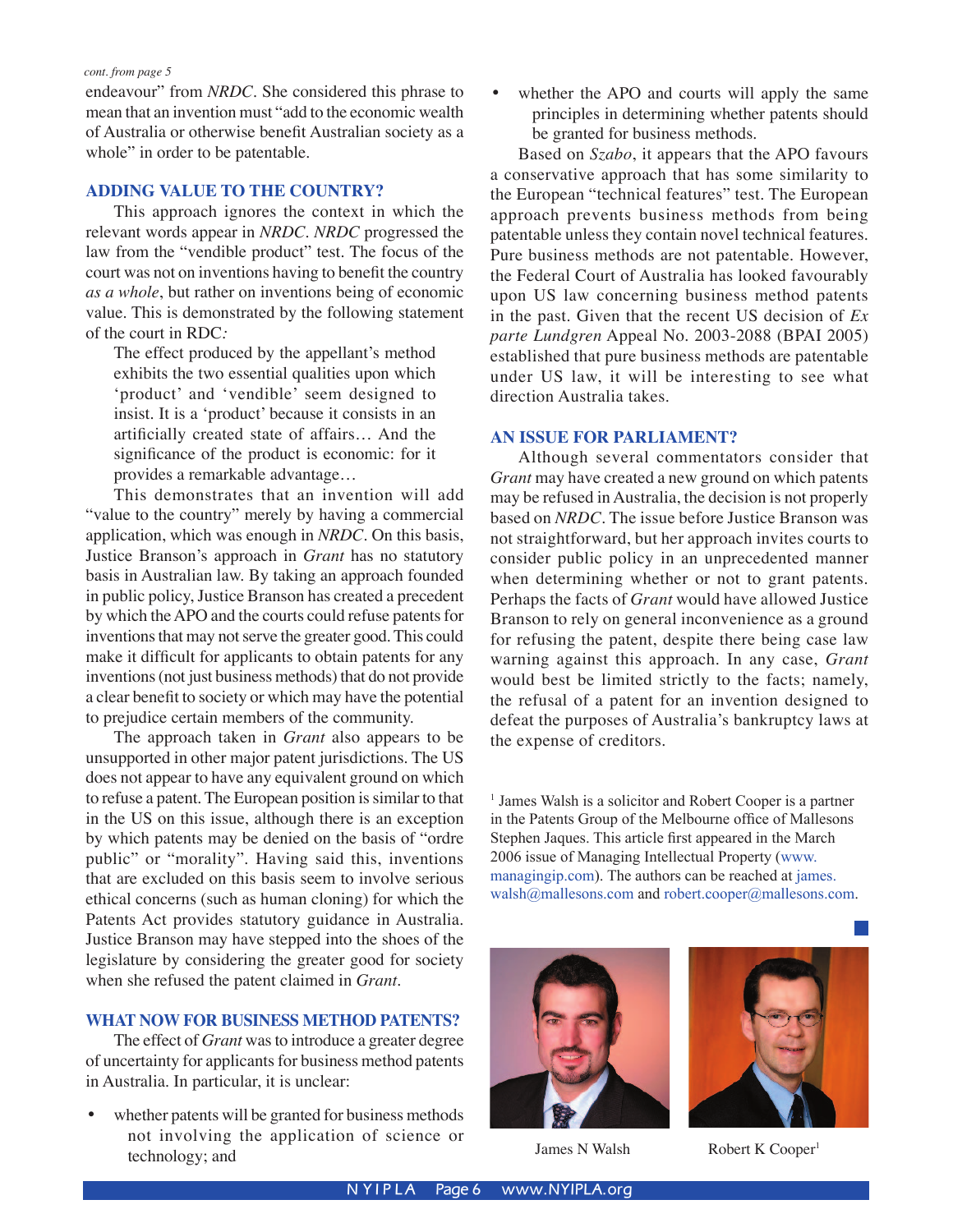endeavour" from *NRDC*. She considered this phrase to mean that an invention must "add to the economic wealth of Australia or otherwise benefit Australian society as a whole" in order to be patentable.

#### **ADDING VALUE TO THE COUNTRY?**

This approach ignores the context in which the relevant words appear in *NRDC*. *NRDC* progressed the law from the "vendible product" test. The focus of the court was not on inventions having to benefit the country *as a whole*, but rather on inventions being of economic value. This is demonstrated by the following statement of the court in RDC*:*

The effect produced by the appellant's method exhibits the two essential qualities upon which ʻproduct' and ʻvendible' seem designed to insist. It is a ʻproduct' because it consists in an artificially created state of affairs… And the significance of the product is economic: for it provides a remarkable advantage…

This demonstrates that an invention will add "value to the country" merely by having a commercial application, which was enough in *NRDC*. On this basis, Justice Branson's approach in *Grant* has no statutory basis in Australian law. By taking an approach founded in public policy, Justice Branson has created a precedent by which the APO and the courts could refuse patents for inventions that may not serve the greater good. This could make it difficult for applicants to obtain patents for any inventions (not just business methods) that do not provide a clear benefit to society or which may have the potential to prejudice certain members of the community.

The approach taken in *Grant* also appears to be unsupported in other major patent jurisdictions. The US does not appear to have any equivalent ground on which to refuse a patent. The European position is similar to that in the US on this issue, although there is an exception by which patents may be denied on the basis of "ordre public" or "morality". Having said this, inventions that are excluded on this basis seem to involve serious ethical concerns (such as human cloning) for which the Patents Act provides statutory guidance in Australia. Justice Branson may have stepped into the shoes of the legislature by considering the greater good for society when she refused the patent claimed in *Grant*.

#### **WHAT NOW FOR BUSINESS METHOD PATENTS?**

 The effect of *Grant* was to introduce a greater degree of uncertainty for applicants for business method patents in Australia. In particular, it is unclear:

whether patents will be granted for business methods not involving the application of science or technology; and

whether the APO and courts will apply the same principles in determining whether patents should be granted for business methods.

Based on *Szabo*, it appears that the APO favours a conservative approach that has some similarity to the European "technical features" test. The European approach prevents business methods from being patentable unless they contain novel technical features. Pure business methods are not patentable. However, the Federal Court of Australia has looked favourably upon US law concerning business method patents in the past. Given that the recent US decision of *Ex parte Lundgren* Appeal No. 2003-2088 (BPAI 2005) established that pure business methods are patentable under US law, it will be interesting to see what direction Australia takes.

#### **AN ISSUE FOR PARLIAMENT?**

Although several commentators consider that *Grant* may have created a new ground on which patents may be refused in Australia, the decision is not properly based on *NRDC*. The issue before Justice Branson was not straightforward, but her approach invites courts to consider public policy in an unprecedented manner when determining whether or not to grant patents. Perhaps the facts of *Grant* would have allowed Justice Branson to rely on general inconvenience as a ground for refusing the patent, despite there being case law warning against this approach. In any case, *Grant* would best be limited strictly to the facts; namely, the refusal of a patent for an invention designed to defeat the purposes of Australia's bankruptcy laws at the expense of creditors.

<sup>1</sup> James Walsh is a solicitor and Robert Cooper is a partner in the Patents Group of the Melbourne office of Mallesons Stephen Jaques. This article first appeared in the March 2006 issue of Managing Intellectual Property (www. managingip.com). The authors can be reached at james. walsh@mallesons.com and robert.cooper@mallesons.com.



James N Walsh Robert K Cooper<sup>1</sup>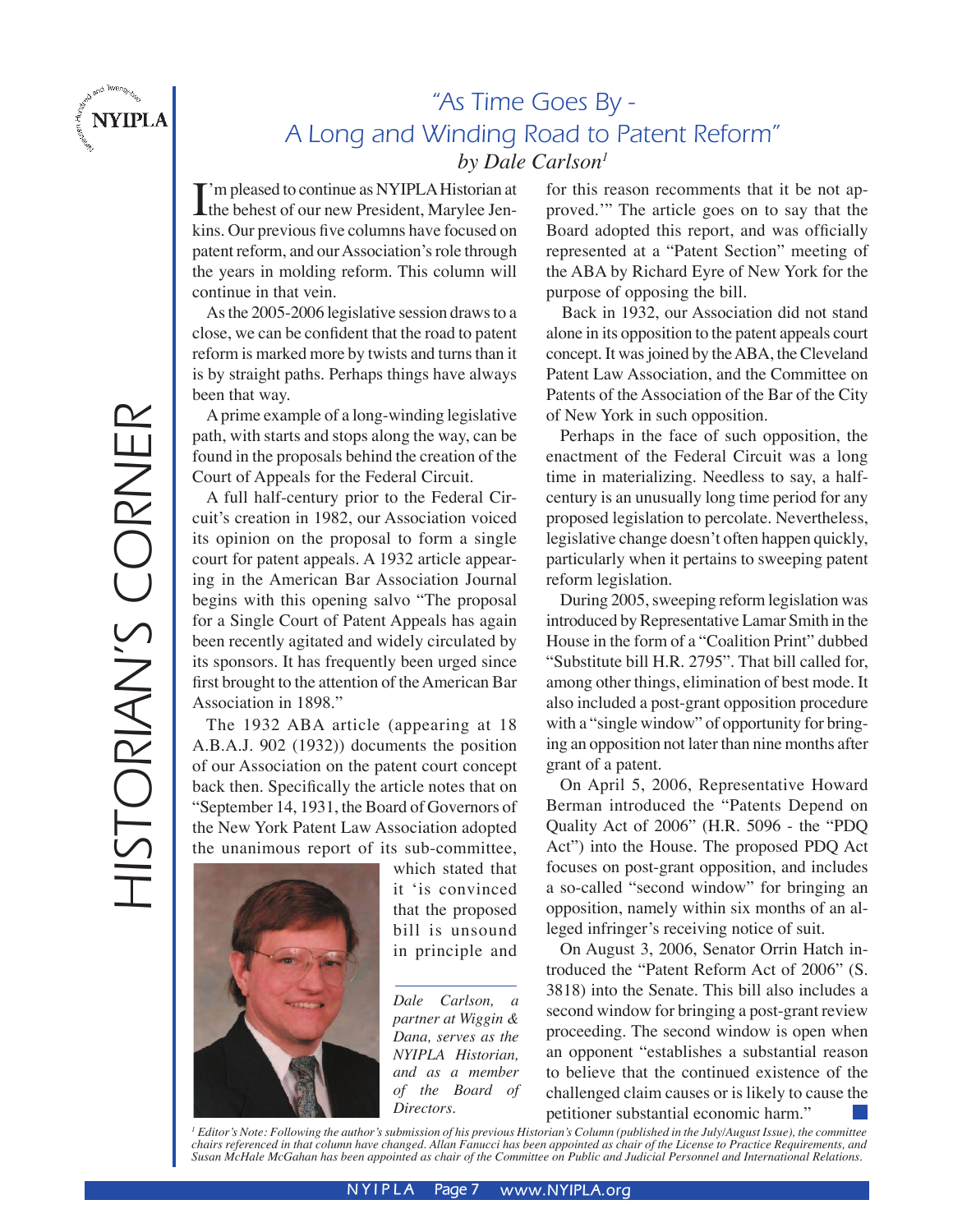

# "As Time Goes By - A Long and Winding Road to Patent Reform" *by Dale Carlson1*

I'm pleased to continue as NYIPLA Historian at<br>the behest of our new President, Marylee Jenthe behest of our new President, Marylee Jenkins. Our previous five columns have focused on patent reform, and our Association's role through the years in molding reform. This column will continue in that vein.

 As the 2005-2006 legislative session draws to a close, we can be confident that the road to patent reform is marked more by twists and turns than it is by straight paths. Perhaps things have always been that way.

A prime example of a long-winding legislative path, with starts and stops along the way, can be found in the proposals behind the creation of the Court of Appeals for the Federal Circuit.

A full half-century prior to the Federal Circuit's creation in 1982, our Association voiced its opinion on the proposal to form a single court for patent appeals. A 1932 article appearing in the American Bar Association Journal begins with this opening salvo "The proposal for a Single Court of Patent Appeals has again been recently agitated and widely circulated by its sponsors. It has frequently been urged since first brought to the attention of the American Bar Association in 1898."

The 1932 ABA article (appearing at 18 A.B.A.J. 902 (1932)) documents the position of our Association on the patent court concept back then. Specifically the article notes that on "September 14, 1931, the Board of Governors of the New York Patent Law Association adopted the unanimous report of its sub-committee,



which stated that it ʻis convinced that the proposed bill is unsound in principle and

*Dale Carlson, a partner at Wiggin & Dana, serves as the NYIPLA Historian, and as a member of the Board of Directors.*

for this reason recomments that it be not approved.'" The article goes on to say that the Board adopted this report, and was officially represented at a "Patent Section" meeting of the ABA by Richard Eyre of New York for the purpose of opposing the bill.

 Back in 1932, our Association did not stand alone in its opposition to the patent appeals court concept. It was joined by the ABA, the Cleveland Patent Law Association, and the Committee on Patents of the Association of the Bar of the City of New York in such opposition.

Perhaps in the face of such opposition, the enactment of the Federal Circuit was a long time in materializing. Needless to say, a halfcentury is an unusually long time period for any proposed legislation to percolate. Nevertheless, legislative change doesn't often happen quickly, particularly when it pertains to sweeping patent reform legislation.

During 2005, sweeping reform legislation was introduced by Representative Lamar Smith in the House in the form of a "Coalition Print" dubbed "Substitute bill H.R. 2795". That bill called for, among other things, elimination of best mode. It also included a post-grant opposition procedure with a "single window" of opportunity for bringing an opposition not later than nine months after grant of a patent.

On April 5, 2006, Representative Howard Berman introduced the "Patents Depend on Quality Act of 2006" (H.R. 5096 - the "PDQ Act") into the House. The proposed PDQ Act focuses on post-grant opposition, and includes a so-called "second window" for bringing an opposition, namely within six months of an alleged infringer's receiving notice of suit.

On August 3, 2006, Senator Orrin Hatch introduced the "Patent Reform Act of 2006" (S. 3818) into the Senate. This bill also includes a second window for bringing a post-grant review proceeding. The second window is open when an opponent "establishes a substantial reason to believe that the continued existence of the challenged claim causes or is likely to cause the petitioner substantial economic harm."

*1 Editor's Note: Following the author's submission of his previous Historian's Column (published in the July/August Issue), the committee chairs referenced in that column have changed. Allan Fanucci has been appointed as chair of the License to Practice Requirements, and Susan McHale McGahan has been appointed as chair of the Committee on Public and Judicial Personnel and International Relations.*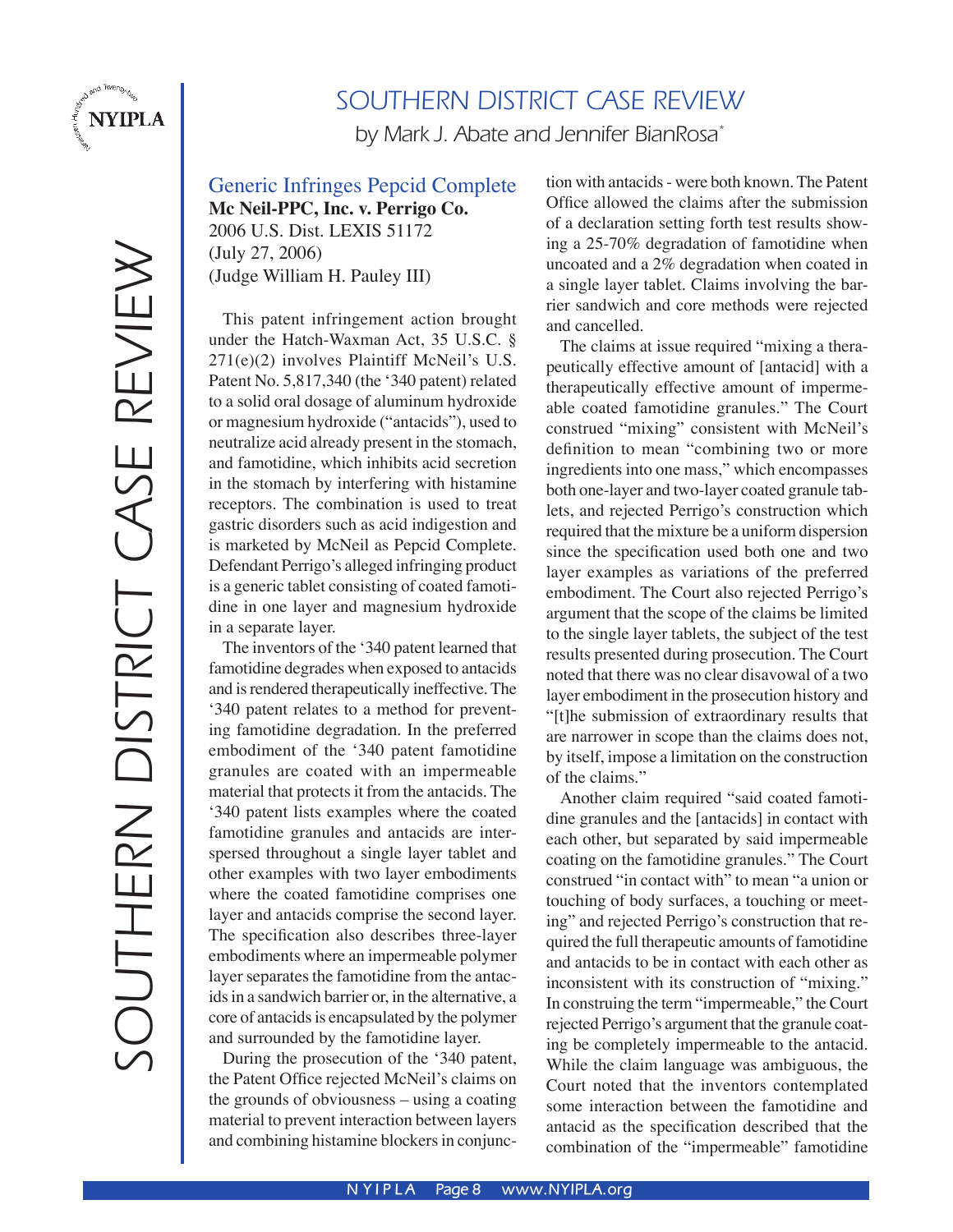

# SOUTHERN DISTRICT CASE REVIEW

by Mark J. Abate and Jennifer BianRosa<sup>\*</sup>

Generic Infringes Pepcid Complete **Mc Neil-PPC, Inc. v. Perrigo Co.**

2006 U.S. Dist. LEXIS 51172 (July 27, 2006) (Judge William H. Pauley III)

This patent infringement action brought under the Hatch-Waxman Act, 35 U.S.C. § 271(e)(2) involves Plaintiff McNeil's U.S. Patent No. 5,817,340 (the ʻ340 patent) related to a solid oral dosage of aluminum hydroxide or magnesium hydroxide ("antacids"), used to neutralize acid already present in the stomach, and famotidine, which inhibits acid secretion in the stomach by interfering with histamine receptors. The combination is used to treat gastric disorders such as acid indigestion and is marketed by McNeil as Pepcid Complete. Defendant Perrigo's alleged infringing product is a generic tablet consisting of coated famotidine in one layer and magnesium hydroxide in a separate layer.

The inventors of the ʻ340 patent learned that famotidine degrades when exposed to antacids and is rendered therapeutically ineffective. The ʻ340 patent relates to a method for preventing famotidine degradation. In the preferred embodiment of the ʻ340 patent famotidine granules are coated with an impermeable material that protects it from the antacids. The ʻ340 patent lists examples where the coated famotidine granules and antacids are interspersed throughout a single layer tablet and other examples with two layer embodiments where the coated famotidine comprises one layer and antacids comprise the second layer. The specification also describes three-layer embodiments where an impermeable polymer layer separates the famotidine from the antacids in a sandwich barrier or, in the alternative, a core of antacids is encapsulated by the polymer and surrounded by the famotidine layer.

During the prosecution of the ʻ340 patent, the Patent Office rejected McNeil's claims on the grounds of obviousness – using a coating material to prevent interaction between layers and combining histamine blockers in conjunction with antacids - were both known. The Patent Office allowed the claims after the submission of a declaration setting forth test results showing a 25-70% degradation of famotidine when uncoated and a 2% degradation when coated in a single layer tablet. Claims involving the barrier sandwich and core methods were rejected and cancelled.

The claims at issue required "mixing a therapeutically effective amount of [antacid] with a therapeutically effective amount of impermeable coated famotidine granules." The Court construed "mixing" consistent with McNeil's definition to mean "combining two or more ingredients into one mass," which encompasses both one-layer and two-layer coated granule tablets, and rejected Perrigo's construction which required that the mixture be a uniform dispersion since the specification used both one and two layer examples as variations of the preferred embodiment. The Court also rejected Perrigo's argument that the scope of the claims be limited to the single layer tablets, the subject of the test results presented during prosecution. The Court noted that there was no clear disavowal of a two layer embodiment in the prosecution history and "[t]he submission of extraordinary results that are narrower in scope than the claims does not, by itself, impose a limitation on the construction of the claims."

Another claim required "said coated famotidine granules and the [antacids] in contact with each other, but separated by said impermeable coating on the famotidine granules." The Court construed "in contact with" to mean "a union or touching of body surfaces, a touching or meeting" and rejected Perrigo's construction that required the full therapeutic amounts of famotidine and antacids to be in contact with each other as inconsistent with its construction of "mixing." In construing the term "impermeable," the Court rejected Perrigo's argument that the granule coating be completely impermeable to the antacid. While the claim language was ambiguous, the Court noted that the inventors contemplated some interaction between the famotidine and antacid as the specification described that the combination of the "impermeable" famotidine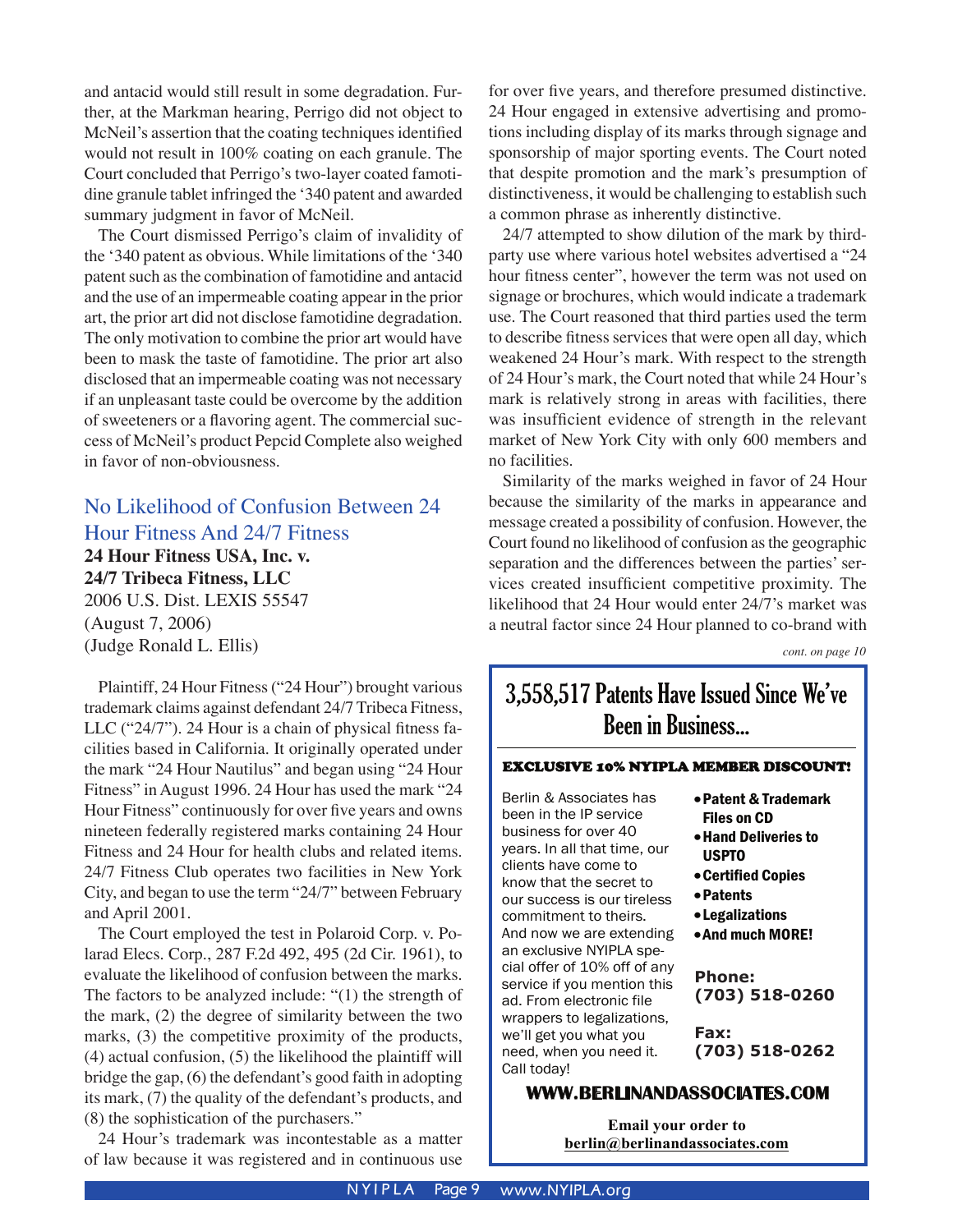and antacid would still result in some degradation. Further, at the Markman hearing, Perrigo did not object to McNeil's assertion that the coating techniques identified would not result in 100% coating on each granule. The Court concluded that Perrigo's two-layer coated famotidine granule tablet infringed the ʻ340 patent and awarded summary judgment in favor of McNeil.

The Court dismissed Perrigo's claim of invalidity of the ʻ340 patent as obvious. While limitations of the ʻ340 patent such as the combination of famotidine and antacid and the use of an impermeable coating appear in the prior art, the prior art did not disclose famotidine degradation. The only motivation to combine the prior art would have been to mask the taste of famotidine. The prior art also disclosed that an impermeable coating was not necessary if an unpleasant taste could be overcome by the addition of sweeteners or a flavoring agent. The commercial success of McNeil's product Pepcid Complete also weighed in favor of non-obviousness.

#### No Likelihood of Confusion Between 24 Hour Fitness And 24/7 Fitness

**24 Hour Fitness USA, Inc. v.** 

**24/7 Tribeca Fitness, LLC** 2006 U.S. Dist. LEXIS 55547 (August 7, 2006) (Judge Ronald L. Ellis)

Plaintiff, 24 Hour Fitness ("24 Hour") brought various trademark claims against defendant 24/7 Tribeca Fitness, LLC ("24/7"). 24 Hour is a chain of physical fitness facilities based in California. It originally operated under the mark "24 Hour Nautilus" and began using "24 Hour Fitness" in August 1996. 24 Hour has used the mark "24 Hour Fitness" continuously for over five years and owns nineteen federally registered marks containing 24 Hour Fitness and 24 Hour for health clubs and related items. 24/7 Fitness Club operates two facilities in New York City, and began to use the term "24/7" between February and April 2001.

The Court employed the test in Polaroid Corp. v. Polarad Elecs. Corp., 287 F.2d 492, 495 (2d Cir. 1961), to evaluate the likelihood of confusion between the marks. The factors to be analyzed include: "(1) the strength of the mark, (2) the degree of similarity between the two marks, (3) the competitive proximity of the products, (4) actual confusion, (5) the likelihood the plaintiff will bridge the gap, (6) the defendant's good faith in adopting its mark, (7) the quality of the defendant's products, and (8) the sophistication of the purchasers."

24 Hour's trademark was incontestable as a matter of law because it was registered and in continuous use

for over five years, and therefore presumed distinctive. 24 Hour engaged in extensive advertising and promotions including display of its marks through signage and sponsorship of major sporting events. The Court noted that despite promotion and the mark's presumption of distinctiveness, it would be challenging to establish such a common phrase as inherently distinctive.

24/7 attempted to show dilution of the mark by thirdparty use where various hotel websites advertised a "24 hour fitness center", however the term was not used on signage or brochures, which would indicate a trademark use. The Court reasoned that third parties used the term to describe fitness services that were open all day, which weakened 24 Hour's mark. With respect to the strength of 24 Hour's mark, the Court noted that while 24 Hour's mark is relatively strong in areas with facilities, there was insufficient evidence of strength in the relevant market of New York City with only 600 members and no facilities.

Similarity of the marks weighed in favor of 24 Hour because the similarity of the marks in appearance and message created a possibility of confusion. However, the Court found no likelihood of confusion as the geographic separation and the differences between the parties' services created insufficient competitive proximity. The likelihood that 24 Hour would enter 24/7's market was a neutral factor since 24 Hour planned to co-brand with

*cont. on page 10*

# 3,558,517 Patents Have Issued Since We've Been in Business...

#### EXCLUSIVE 10% NYIPLA MEMBER DISCOUNT!

Berlin & Associates has been in the IP service business for over 40 years. In all that time, our clients have come to know that the secret to our success is our tireless commitment to theirs. And now we are extending an exclusive NYIPLA special offer of 10% off of any service if you mention this ad. From electronic file wrappers to legalizations, we'll get you what you need, when you need it. Call today!

- •Patent & Trademark Files on CD
- •Hand Deliveries to USPTO
- •Certified Copies
- •Patents
- •Legalizations
- •And much MORE!

Phone: **Phone:** (703) 415-0579 **(703) 518-0260**

 $\frac{1}{7}$ (703) 415-0618 **(703) 518-0262Fax:**

#### **WWW.BERLINANDASSOCIATES.COM**

**Email your order to berlin@berlinandassociates.com**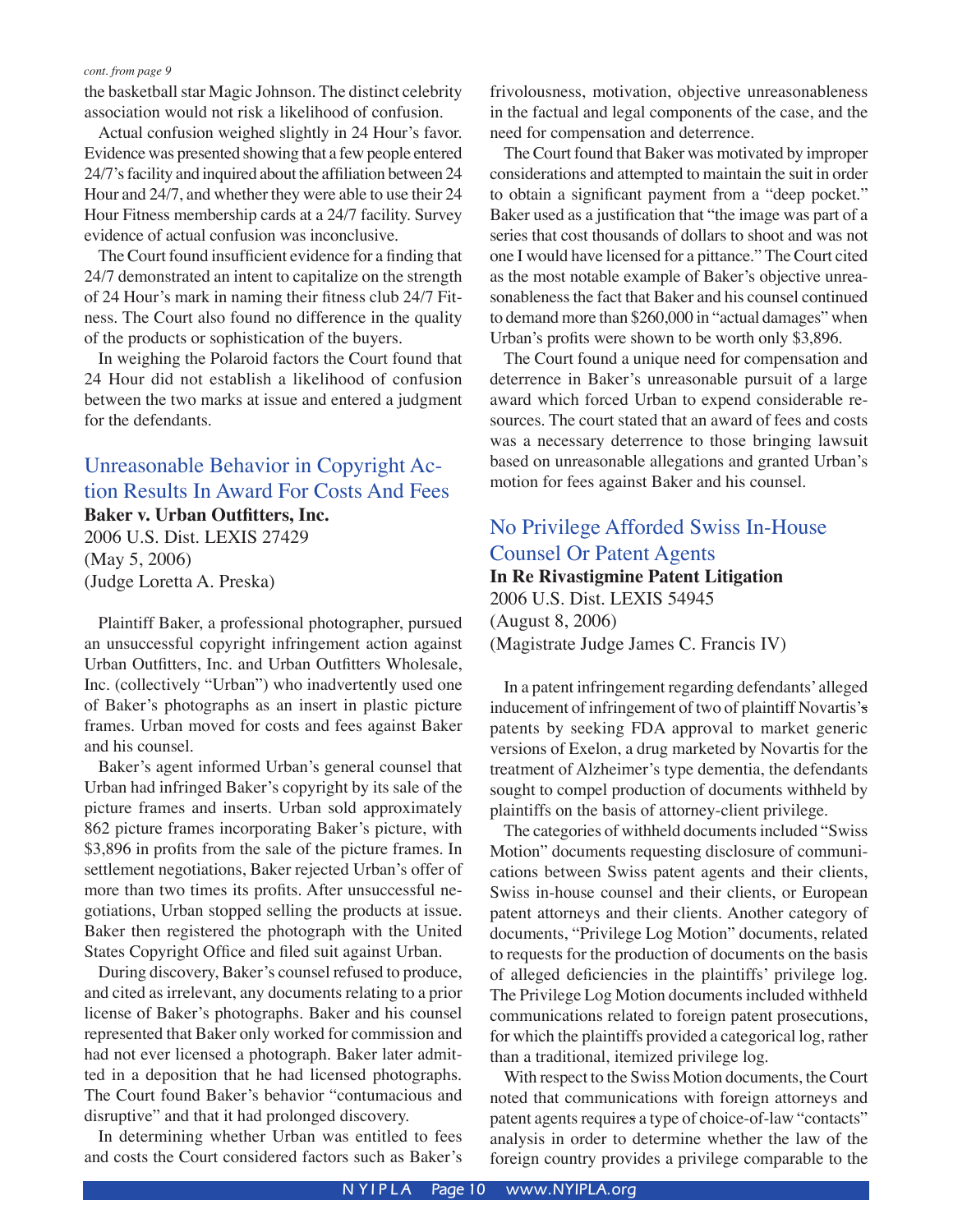the basketball star Magic Johnson. The distinct celebrity association would not risk a likelihood of confusion.

Actual confusion weighed slightly in 24 Hour's favor. Evidence was presented showing that a few people entered 24/7's facility and inquired about the affiliation between 24 Hour and 24/7, and whether they were able to use their 24 Hour Fitness membership cards at a 24/7 facility. Survey evidence of actual confusion was inconclusive.

The Court found insufficient evidence for a finding that 24/7 demonstrated an intent to capitalize on the strength of 24 Hour's mark in naming their fitness club 24/7 Fitness. The Court also found no difference in the quality of the products or sophistication of the buyers.

In weighing the Polaroid factors the Court found that 24 Hour did not establish a likelihood of confusion between the two marks at issue and entered a judgment for the defendants.

#### Unreasonable Behavior in Copyright Action Results In Award For Costs And Fees **Baker v. Urban Outfitters, Inc.**

2006 U.S. Dist. LEXIS 27429 (May 5, 2006) (Judge Loretta A. Preska)

Plaintiff Baker, a professional photographer, pursued an unsuccessful copyright infringement action against Urban Outfitters, Inc. and Urban Outfitters Wholesale, Inc. (collectively "Urban") who inadvertently used one of Baker's photographs as an insert in plastic picture frames. Urban moved for costs and fees against Baker and his counsel.

Baker's agent informed Urban's general counsel that Urban had infringed Baker's copyright by its sale of the picture frames and inserts. Urban sold approximately 862 picture frames incorporating Baker's picture, with \$3,896 in profits from the sale of the picture frames. In settlement negotiations, Baker rejected Urban's offer of more than two times its profits. After unsuccessful negotiations, Urban stopped selling the products at issue. Baker then registered the photograph with the United States Copyright Office and filed suit against Urban.

During discovery, Baker's counsel refused to produce, and cited as irrelevant, any documents relating to a prior license of Baker's photographs. Baker and his counsel represented that Baker only worked for commission and had not ever licensed a photograph. Baker later admitted in a deposition that he had licensed photographs. The Court found Baker's behavior "contumacious and disruptive" and that it had prolonged discovery.

In determining whether Urban was entitled to fees and costs the Court considered factors such as Baker's frivolousness, motivation, objective unreasonableness in the factual and legal components of the case, and the need for compensation and deterrence.

The Court found that Baker was motivated by improper considerations and attempted to maintain the suit in order to obtain a significant payment from a "deep pocket." Baker used as a justification that "the image was part of a series that cost thousands of dollars to shoot and was not one I would have licensed for a pittance." The Court cited as the most notable example of Baker's objective unreasonableness the fact that Baker and his counsel continued to demand more than \$260,000 in "actual damages" when Urban's profits were shown to be worth only \$3,896.

The Court found a unique need for compensation and deterrence in Baker's unreasonable pursuit of a large award which forced Urban to expend considerable resources. The court stated that an award of fees and costs was a necessary deterrence to those bringing lawsuit based on unreasonable allegations and granted Urban's motion for fees against Baker and his counsel.

## No Privilege Afforded Swiss In-House Counsel Or Patent Agents

#### **In Re Rivastigmine Patent Litigation**

2006 U.S. Dist. LEXIS 54945 (August 8, 2006) (Magistrate Judge James C. Francis IV)

In a patent infringement regarding defendants' alleged inducement of infringement of two of plaintiff Novartis's patents by seeking FDA approval to market generic versions of Exelon, a drug marketed by Novartis for the treatment of Alzheimer's type dementia, the defendants sought to compel production of documents withheld by plaintiffs on the basis of attorney-client privilege.

The categories of withheld documents included "Swiss Motion" documents requesting disclosure of communications between Swiss patent agents and their clients, Swiss in-house counsel and their clients, or European patent attorneys and their clients. Another category of documents, "Privilege Log Motion" documents, related to requests for the production of documents on the basis of alleged deficiencies in the plaintiffs' privilege log. The Privilege Log Motion documents included withheld communications related to foreign patent prosecutions, for which the plaintiffs provided a categorical log, rather than a traditional, itemized privilege log.

With respect to the Swiss Motion documents, the Court noted that communications with foreign attorneys and patent agents requires a type of choice-of-law "contacts" analysis in order to determine whether the law of the foreign country provides a privilege comparable to the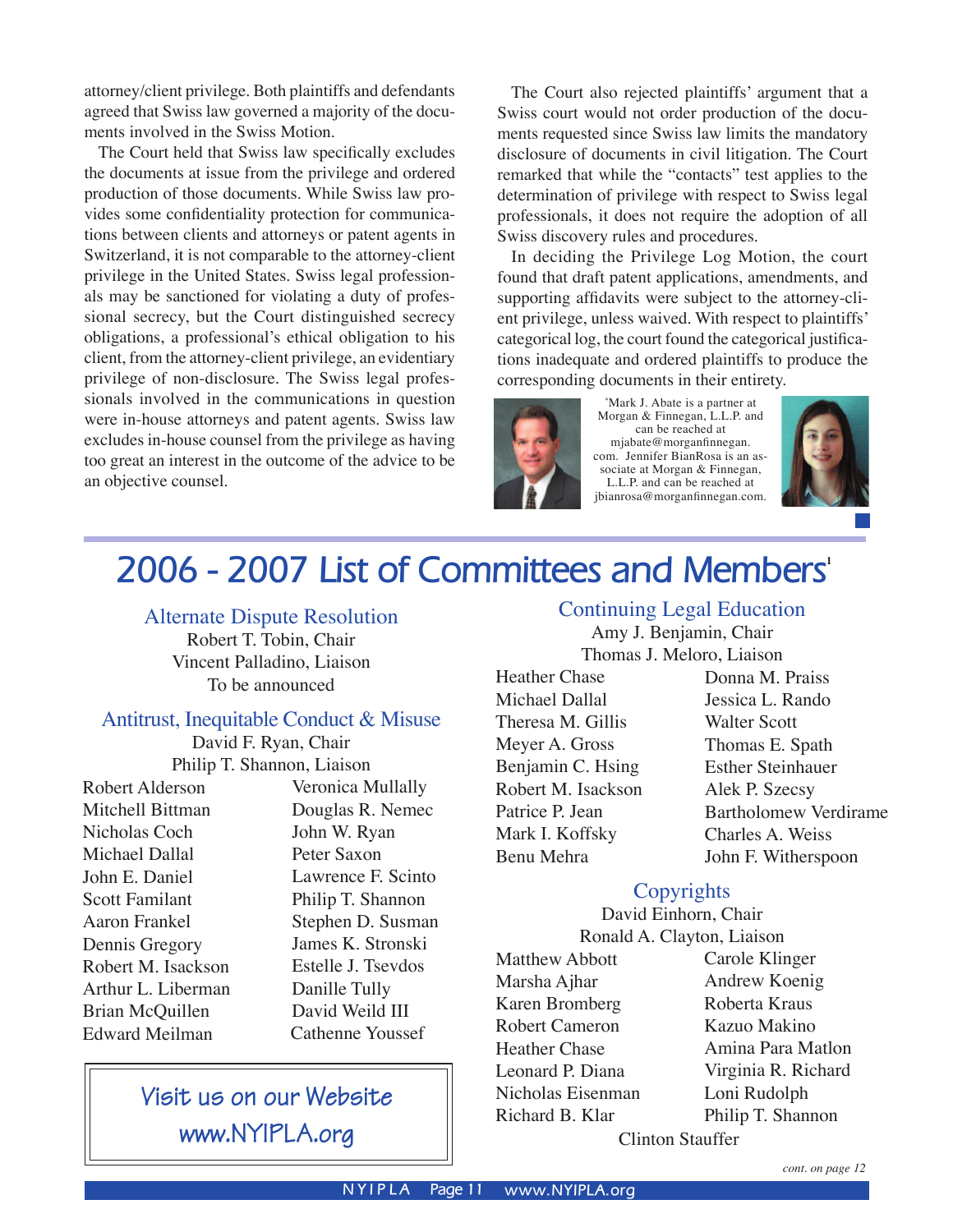attorney/client privilege. Both plaintiffs and defendants agreed that Swiss law governed a majority of the documents involved in the Swiss Motion.

The Court held that Swiss law specifically excludes the documents at issue from the privilege and ordered production of those documents. While Swiss law provides some confidentiality protection for communications between clients and attorneys or patent agents in Switzerland, it is not comparable to the attorney-client privilege in the United States. Swiss legal professionals may be sanctioned for violating a duty of professional secrecy, but the Court distinguished secrecy obligations, a professional's ethical obligation to his client, from the attorney-client privilege, an evidentiary privilege of non-disclosure. The Swiss legal professionals involved in the communications in question were in-house attorneys and patent agents. Swiss law excludes in-house counsel from the privilege as having too great an interest in the outcome of the advice to be an objective counsel.

The Court also rejected plaintiffs' argument that a Swiss court would not order production of the documents requested since Swiss law limits the mandatory disclosure of documents in civil litigation. The Court remarked that while the "contacts" test applies to the determination of privilege with respect to Swiss legal professionals, it does not require the adoption of all Swiss discovery rules and procedures.

In deciding the Privilege Log Motion, the court found that draft patent applications, amendments, and supporting affidavits were subject to the attorney-client privilege, unless waived. With respect to plaintiffs' categorical log, the court found the categorical justifications inadequate and ordered plaintiffs to produce the corresponding documents in their entirety.



\* Mark J. Abate is a partner at Morgan & Finnegan, L.L.P. and can be reached at mjabate@morganfinnegan. com. Jennifer BianRosa is an associate at Morgan & Finnegan, L.L.P. and can be reached at jbianrosa@morganfinnegan.com.



# **2006 - 2007 List of Committees and Members<sup>1</sup>**

#### Alternate Dispute Resolution

Robert T. Tobin, Chair Vincent Palladino, Liaison To be announced

#### Antitrust, Inequitable Conduct & Misuse

David F. Ryan, Chair Philip T. Shannon, Liaison

Robert Alderson Mitchell Bittman Nicholas Coch Michael Dallal John E. Daniel Scott Familant Aaron Frankel Dennis Gregory Robert M. Isackson Arthur L. Liberman Brian McQuillen Edward Meilman

Veronica Mullally Douglas R. Nemec John W. Ryan Peter Saxon Lawrence F. Scinto Philip T. Shannon Stephen D. Susman James K. Stronski Estelle J. Tsevdos Danille Tully David Weild III Cathenne Youssef

# Visit us on our Website www.NYIPLA.org

#### Continuing Legal Education

Amy J. Benjamin, Chair Thomas J. Meloro, Liaison

Heather Chase Michael Dallal Theresa M. Gillis Meyer A. Gross Benjamin C. Hsing Robert M. Isackson Patrice P. Jean Mark I. Koffsky Benu Mehra

Donna M. Praiss Jessica L. Rando Walter Scott Thomas E. Spath Esther Steinhauer Alek P. Szecsy Bartholomew Verdirame Charles A. Weiss John F. Witherspoon

#### **Copyrights**

David Einhorn, Chair Ronald A. Clayton, Liaison

Matthew Abbott Marsha Ajhar Karen Bromberg Robert Cameron Heather Chase Leonard P. Diana Nicholas Eisenman Richard B. Klar

Carole Klinger Andrew Koenig Roberta Kraus Kazuo Makino Amina Para Matlon Virginia R. Richard Loni Rudolph Philip T. Shannon

Clinton Stauffer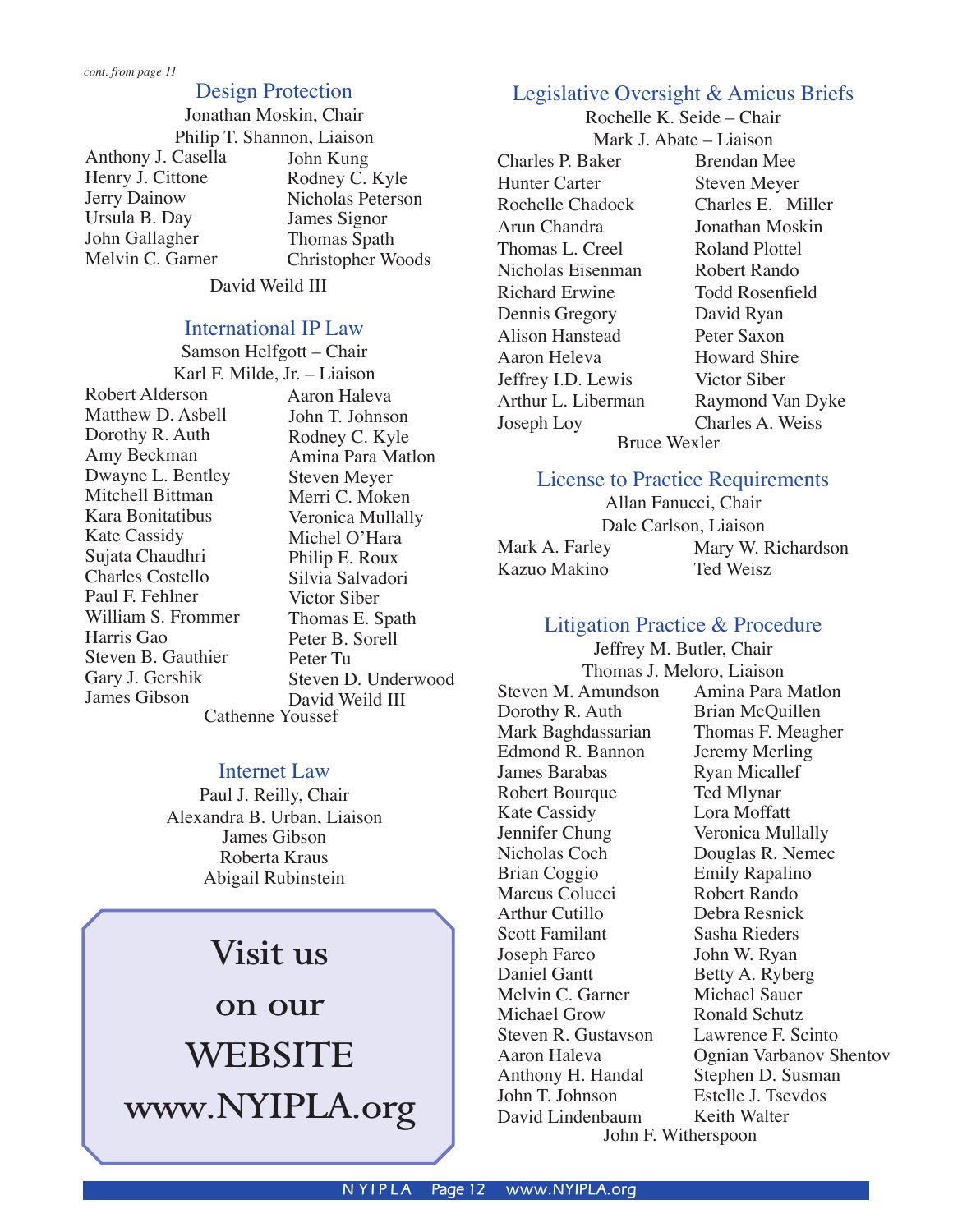#### Design Protection

Jonathan Moskin, Chair Philip T. Shannon, Liaison Anthony J. Casella Henry J. Cittone Jerry Dainow Ursula B. Day John Gallagher Melvin C. Garner John Kung Rodney C. Kyle Nicholas Peterson James Signor Thomas Spath Christopher Woods

David Weild III

#### International IP Law

Samson Helfgott – Chair Karl F. Milde, Jr. – Liaison Robert Alderson Matthew D. Asbell Dorothy R. Auth Amy Beckman Dwayne L. Bentley Mitchell Bittman Kara Bonitatibus Kate Cassidy Sujata Chaudhri Charles Costello Paul F. Fehlner William S. Frommer Harris Gao Steven B. Gauthier Gary J. Gershik James Gibson Aaron Haleva John T. Johnson Rodney C. Kyle Amina Para Matlon Steven Meyer Merri C. Moken Veronica Mullally Michel O'Hara Philip E. Roux Silvia Salvadori Victor Siber Thomas E. Spath Peter B. Sorell Peter Tu Steven D. Underwood David Weild III Cathenne Youssef

#### Internet Law

Paul J. Reilly, Chair Alexandra B. Urban, Liaison James Gibson Roberta Kraus Abigail Rubinstein

# **Visit us**

**on our WEBSITE www.NYIPLA.org**

## Legislative Oversight & Amicus Briefs

Rochelle K. Seide – Chair Mark J. Abate – Liaison

Charles P. Baker Hunter Carter Rochelle Chadock Arun Chandra Thomas L. Creel Nicholas Eisenman Richard Erwine Dennis Gregory Alison Hanstead Aaron Heleva Jeffrey I.D. Lewis Arthur L. Liberman Joseph Loy Bruce Wexler

Brendan Mee Steven Meyer Charles E. Miller Jonathan Moskin Roland Plottel Robert Rando Todd Rosenfield David Ryan Peter Saxon Howard Shire Victor Siber Raymond Van Dyke Charles A. Weiss

#### License to Practice Requirements

Allan Fanucci, Chair Dale Carlson, Liaison Mark A. Farley Kazuo Makino Mary W. Richardson Ted Weisz

## Litigation Practice & Procedure

Jeffrey M. Butler, Chair Steven M. Amundson Dorothy R. Auth Mark Baghdassarian Edmond R. Bannon James Barabas Robert Bourque Kate Cassidy Jennifer Chung Nicholas Coch Brian Coggio Marcus Colucci Arthur Cutillo Scott Familant Joseph Farco Daniel Gantt Melvin C. Garner Michael Grow Steven R. Gustavson Aaron Haleva Anthony H. Handal John T. Johnson David Lindenbaum

Thomas J. Meloro, Liaison Amina Para Matlon Brian McQuillen Thomas F. Meagher Jeremy Merling Ryan Micallef Ted Mlynar Lora Moffatt Veronica Mullally Douglas R. Nemec Emily Rapalino Robert Rando Debra Resnick Sasha Rieders John W. Ryan Betty A. Ryberg Michael Sauer Ronald Schutz Lawrence F. Scinto Ognian Varbanov Shentov Stephen D. Susman Estelle J. Tsevdos Keith Walter

John F. Witherspoon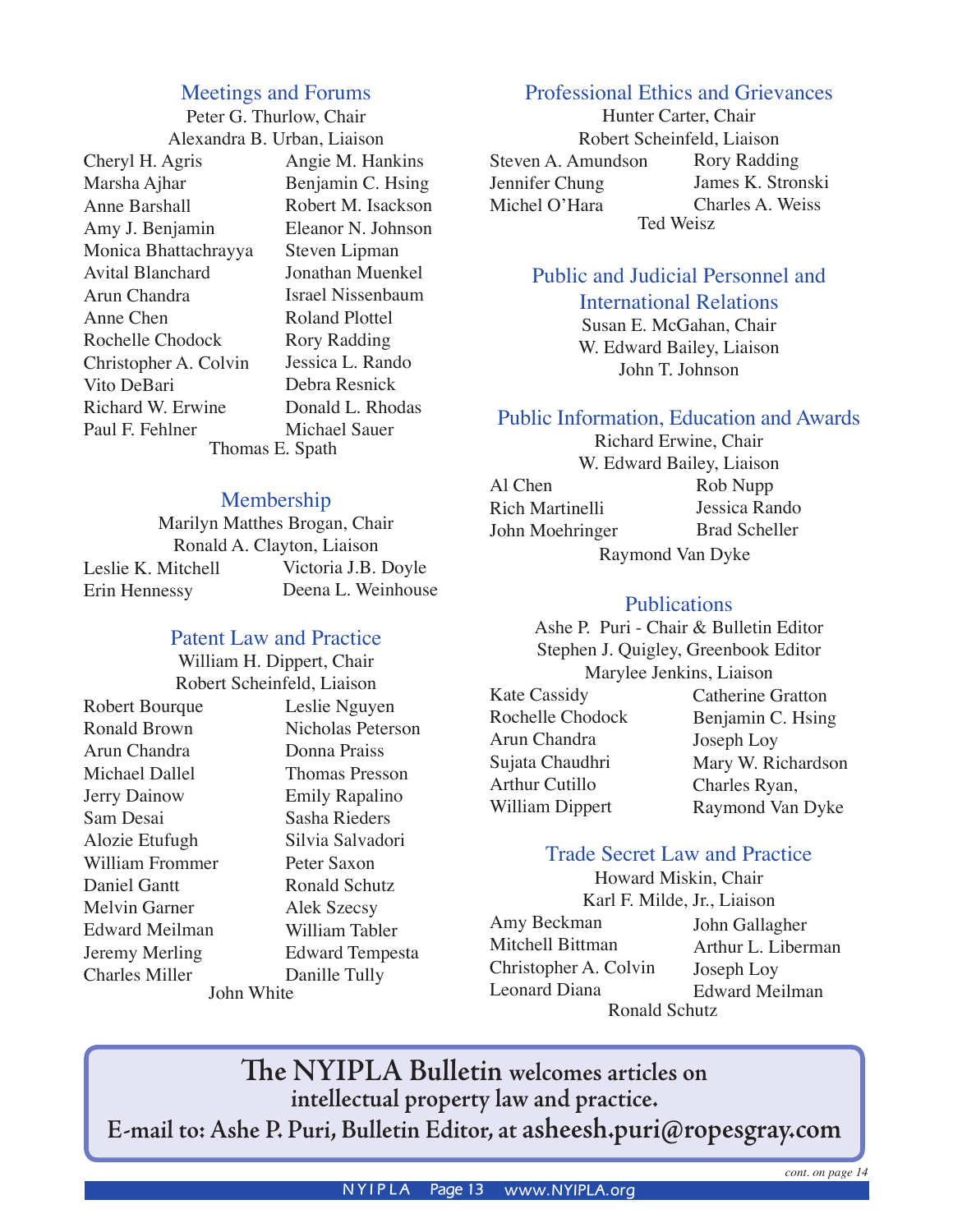#### Meetings and Forums

Peter G. Thurlow, Chair Alexandra B. Urban, Liaison

Cheryl H. Agris Marsha Ajhar Anne Barshall Amy J. Benjamin Monica Bhattachrayya Avital Blanchard Arun Chandra Anne Chen Rochelle Chodock Christopher A. Colvin Vito DeBari Richard W. Erwine Paul F. Fehlner

Angie M. Hankins Benjamin C. Hsing Robert M. Isackson Eleanor N. Johnson Steven Lipman Jonathan Muenkel Israel Nissenbaum Roland Plottel Rory Radding Jessica L. Rando Debra Resnick Donald L. Rhodas Michael Sauer Thomas E. Spath

#### Membership

Marilyn Matthes Brogan, Chair Ronald A. Clayton, Liaison Leslie K. Mitchell Erin Hennessy Victoria J.B. Doyle Deena L. Weinhouse

#### Patent Law and Practice

William H. Dippert, Chair Robert Scheinfeld, Liaison Robert Bourque Ronald Brown Arun Chandra Michael Dallel Jerry Dainow Sam Desai Alozie Etufugh William Frommer Daniel Gantt Melvin Garner Edward Meilman Jeremy Merling Charles Miller Leslie Nguyen Nicholas Peterson Donna Praiss Thomas Presson Emily Rapalino Sasha Rieders Silvia Salvadori Peter Saxon Ronald Schutz Alek Szecsy William Tabler Edward Tempesta Danille Tully John White

#### Professional Ethics and Grievances

Hunter Carter, Chair Robert Scheinfeld, Liaison Steven A. Amundson Jennifer Chung Michel O'Hara Rory Radding James K. Stronski Charles A. Weiss Ted Weisz

## Public and Judicial Personnel and

International Relations

Susan E. McGahan, Chair W. Edward Bailey, Liaison John T. Johnson

#### Public Information, Education and Awards

Richard Erwine, Chair W. Edward Bailey, Liaison Al Chen Rich Martinelli John Moehringer Rob Nupp Jessica Rando Brad Scheller Raymond Van Dyke

#### **Publications**

Ashe P. Puri - Chair & Bulletin Editor Stephen J. Quigley, Greenbook Editor Marylee Jenkins, Liaison Kate Cassidy Rochelle Chodock Arun Chandra Sujata Chaudhri Arthur Cutillo William Dippert Catherine Gratton Benjamin C. Hsing Joseph Loy Mary W. Richardson Charles Ryan, Raymond Van Dyke

#### Trade Secret Law and Practice

Howard Miskin, Chair Karl F. Milde, Jr., Liaison Amy Beckman Mitchell Bittman Christopher A. Colvin Leonard Diana Ronald Schutz

John Gallagher Arthur L. Liberman Joseph Loy Edward Meilman

**The NYIPLA Bulletin welcomes articles on intellectual property law and practice. E-mail to: Ashe P. Puri, Bulletin Editor, at asheesh.puri@ropesgray.com**

*cont. on page 14*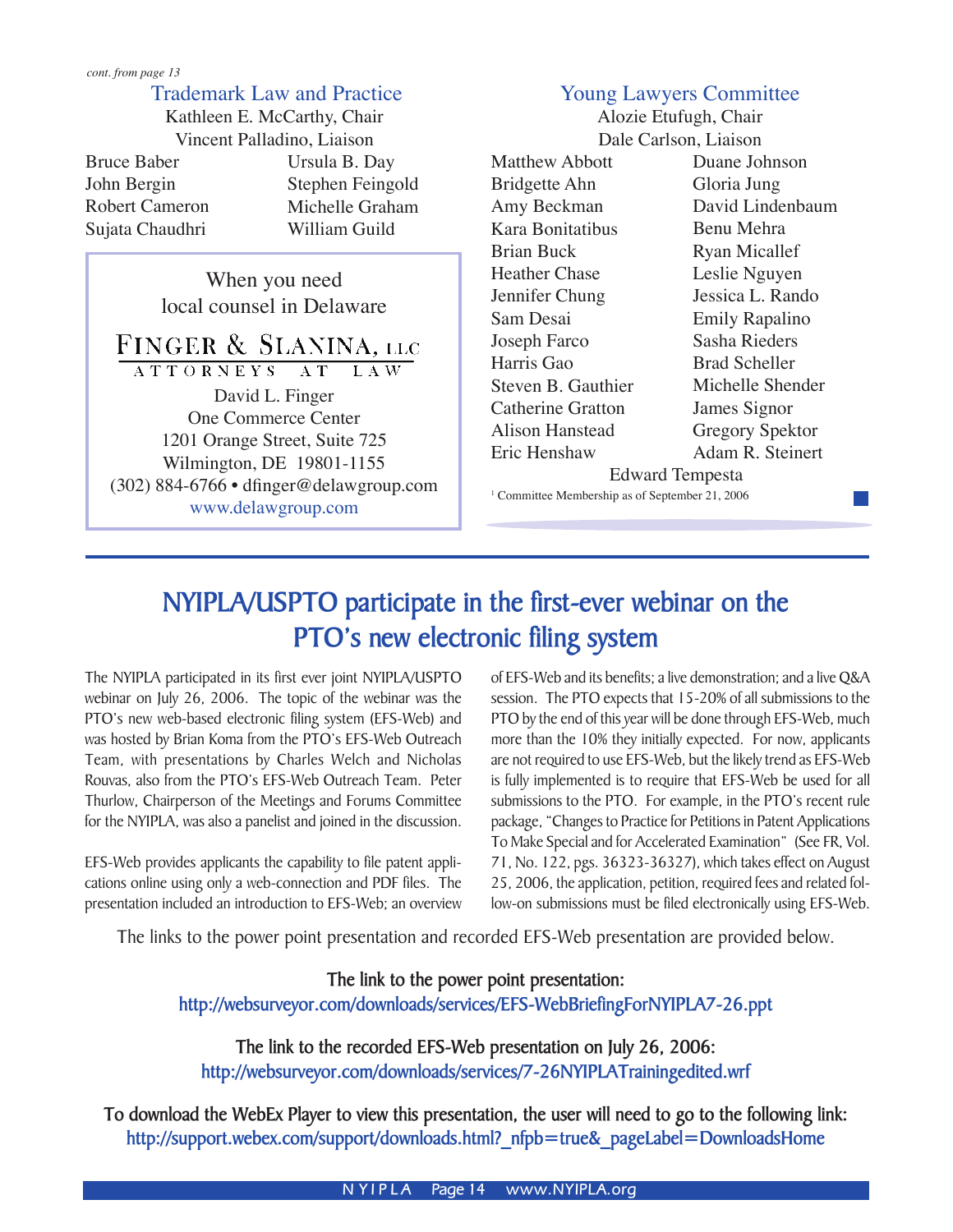#### Trademark Law and Practice

Ursula B. Day Stephen Feingold Michelle Graham William Guild Kathleen E. McCarthy, Chair Vincent Palladino, Liaison Bruce Baber John Bergin Robert Cameron Sujata Chaudhri

> When you need local counsel in Delaware

FINGER & SLANINA, LLC ATTORNEYS AT LAW David L. Finger One Commerce Center 1201 Orange Street, Suite 725 Wilmington, DE 19801-1155 (302) 884-6766 • dfinger@delawgroup.com www.delawgroup.com

### Young Lawyers Committee

Alozie Etufugh, Chair Dale Carlson, Liaison

Matthew Abbott Bridgette Ahn Amy Beckman Kara Bonitatibus Brian Buck Heather Chase Jennifer Chung Sam Desai Joseph Farco Harris Gao Steven B. Gauthier Catherine Gratton Alison Hanstead Eric Henshaw

Duane Johnson Gloria Jung David Lindenbaum Benu Mehra Ryan Micallef Leslie Nguyen Jessica L. Rando Emily Rapalino Sasha Rieders Brad Scheller Michelle Shender James Signor Gregory Spektor Adam R. Steinert

Edward Tempesta

<sup>1</sup> Committee Membership as of September 21, 2006

# **NYIPLA/USPTO participate in the first-ever webinar on the PTO's new electronic filing system**

The NYIPLA participated in its first ever joint NYIPLA/USPTO webinar on July 26, 2006. The topic of the webinar was the PTO's new web-based electronic filing system (EFS-Web) and was hosted by Brian Koma from the PTO's EFS-Web Outreach Team, with presentations by Charles Welch and Nicholas Rouvas, also from the PTO's EFS-Web Outreach Team. Peter Thurlow, Chairperson of the Meetings and Forums Committee for the NYIPLA, was also a panelist and joined in the discussion.

EFS-Web provides applicants the capability to file patent applications online using only a web-connection and PDF files. The presentation included an introduction to EFS-Web; an overview

of EFS-Web and its benefits; a live demonstration; and a live Q&A session. The PTO expects that 15-20% of all submissions to the PTO by the end of this year will be done through EFS-Web, much more than the 10% they initially expected. For now, applicants are not required to use EFS-Web, but the likely trend as EFS-Web is fully implemented is to require that EFS-Web be used for all submissions to the PTO. For example, in the PTO's recent rule package, "Changes to Practice for Petitions in Patent Applications To Make Special and for Accelerated Examination" (See FR, Vol. 71, No. 122, pgs. 36323-36327), which takes effect on August 25, 2006, the application, petition, required fees and related follow-on submissions must be filed electronically using EFS-Web.

The links to the power point presentation and recorded EFS-Web presentation are provided below.

**The link to the power point presentation: http://websurveyor.com/downloads/services/EFS-WebBriefingForNYIPLA7-26.ppt**

**The link to the recorded EFS-Web presentation on July 26, 2006: http://websurveyor.com/downloads/services/7-26NYIPLATrainingedited.wrf**

**To download the WebEx Player to view this presentation, the user will need to go to the following link: http://support.webex.com/support/downloads.html?\_nfpb=true&\_pageLabel=DownloadsHome**

**N YIPLA** Page 14 www.NYIPLA.org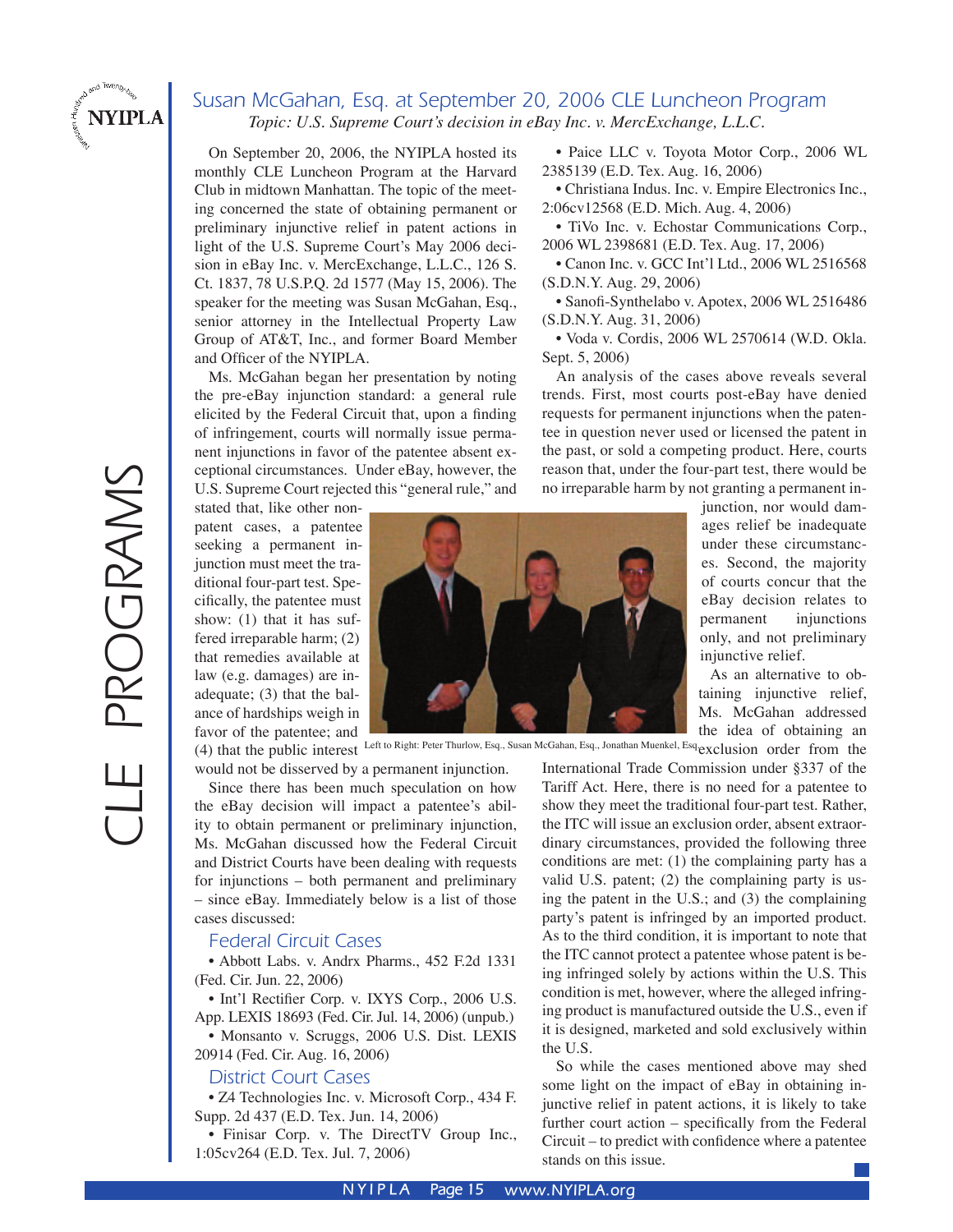

#### Susan McGahan, Esq. at September 20, 2006 CLE Luncheon Program *Topic: U.S. Supreme Court's decision in eBay Inc. v. MercExchange, L.L.C.*

On September 20, 2006, the NYIPLA hosted its monthly CLE Luncheon Program at the Harvard Club in midtown Manhattan. The topic of the meeting concerned the state of obtaining permanent or preliminary injunctive relief in patent actions in light of the U.S. Supreme Court's May 2006 decision in eBay Inc. v. MercExchange, L.L.C., 126 S. Ct. 1837, 78 U.S.P.Q. 2d 1577 (May 15, 2006). The speaker for the meeting was Susan McGahan, Esq., senior attorney in the Intellectual Property Law Group of AT&T, Inc., and former Board Member and Officer of the NYIPLA.

 Ms. McGahan began her presentation by noting the pre-eBay injunction standard: a general rule elicited by the Federal Circuit that, upon a finding of infringement, courts will normally issue permanent injunctions in favor of the patentee absent exceptional circumstances. Under eBay, however, the U.S. Supreme Court rejected this "general rule," and

 • Paice LLC v. Toyota Motor Corp., 2006 WL 2385139 (E.D. Tex. Aug. 16, 2006)

 • Christiana Indus. Inc. v. Empire Electronics Inc., 2:06cv12568 (E.D. Mich. Aug. 4, 2006)

 • TiVo Inc. v. Echostar Communications Corp., 2006 WL 2398681 (E.D. Tex. Aug. 17, 2006)

 • Canon Inc. v. GCC Int'l Ltd., 2006 WL 2516568 (S.D.N.Y. Aug. 29, 2006)

 • Sanofi-Synthelabo v. Apotex, 2006 WL 2516486 (S.D.N.Y. Aug. 31, 2006)

 • Voda v. Cordis, 2006 WL 2570614 (W.D. Okla. Sept. 5, 2006)

An analysis of the cases above reveals several trends. First, most courts post-eBay have denied requests for permanent injunctions when the patentee in question never used or licensed the patent in the past, or sold a competing product. Here, courts reason that, under the four-part test, there would be no irreparable harm by not granting a permanent in-

stated that, like other nonpatent cases, a patentee seeking a permanent injunction must meet the traditional four-part test. Specifically, the patentee must show: (1) that it has suffered irreparable harm; (2) that remedies available at law (e.g. damages) are inadequate; (3) that the balance of hardships weigh in favor of the patentee; and



(4) that the public interest Left to Right: Peter Thurlow, Esq., Susan McGahan, Esq., Jonathan Muenkel, Esq. exclusion order from the

would not be disserved by a permanent injunction.

 Since there has been much speculation on how the eBay decision will impact a patentee's ability to obtain permanent or preliminary injunction, Ms. McGahan discussed how the Federal Circuit and District Courts have been dealing with requests for injunctions – both permanent and preliminary – since eBay. Immediately below is a list of those cases discussed:

#### Federal Circuit Cases

• Abbott Labs. v. Andrx Pharms., 452 F.2d 1331 (Fed. Cir. Jun. 22, 2006)

 • Int'l Rectifier Corp. v. IXYS Corp., 2006 U.S. App. LEXIS 18693 (Fed. Cir. Jul. 14, 2006) (unpub.)

 • Monsanto v. Scruggs, 2006 U.S. Dist. LEXIS 20914 (Fed. Cir. Aug. 16, 2006)

#### District Court Cases

 • Z4 Technologies Inc. v. Microsoft Corp., 434 F. Supp. 2d 437 (E.D. Tex. Jun. 14, 2006)

 • Finisar Corp. v. The DirectTV Group Inc., 1:05cv264 (E.D. Tex. Jul. 7, 2006)

junction, nor would damages relief be inadequate under these circumstances. Second, the majority of courts concur that the eBay decision relates to permanent injunctions only, and not preliminary injunctive relief.

 As an alternative to obtaining injunctive relief, Ms. McGahan addressed the idea of obtaining an

International Trade Commission under §337 of the Tariff Act. Here, there is no need for a patentee to show they meet the traditional four-part test. Rather, the ITC will issue an exclusion order, absent extraordinary circumstances, provided the following three conditions are met: (1) the complaining party has a valid U.S. patent; (2) the complaining party is using the patent in the U.S.; and (3) the complaining party's patent is infringed by an imported product. As to the third condition, it is important to note that the ITC cannot protect a patentee whose patent is being infringed solely by actions within the U.S. This condition is met, however, where the alleged infringing product is manufactured outside the U.S., even if it is designed, marketed and sold exclusively within the U.S.

 So while the cases mentioned above may shed some light on the impact of eBay in obtaining injunctive relief in patent actions, it is likely to take further court action – specifically from the Federal Circuit – to predict with confidence where a patentee stands on this issue.